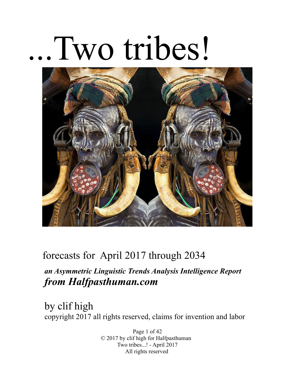# .Two tribes!



# forecasts for April 2017 through 2034

# *an Asymmetric Linguistic Trends Analysis Intelligence Report from Halfpasthuman.com*

by clif high copyright 2017 all rights reserved, claims for invention and labor

> Page 1 of 42 © 2017 by clif high for Halfpasthuman Two tribes...! - April 2017 All rights reserved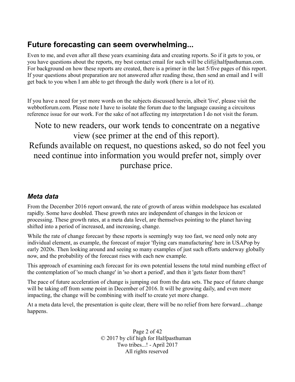# **Future forecasting can seem overwhelming...**

Even to me, and even after all these years examining data and creating reports. So if it gets to you, or you have questions about the reports, my best contact email for such will be clif@halfpasthuman.com. For background on how these reports are created, there is a primer in the last 5/five pages of this report. If your questions about preparation are not answered after reading these, then send an email and I will get back to you when I am able to get through the daily work (there is a lot of it).

If you have a need for yet more words on the subjects discussed herein, albeit 'live', please visit the webbotforum.com. Please note I have to isolate the forum due to the language causing a circuitous reference issue for our work. For the sake of not affecting my interpretation I do not visit the forum.

Note to new readers, our work tends to concentrate on a negative view (see primer at the end of this report). Refunds available on request, no questions asked, so do not feel you need continue into information you would prefer not, simply over purchase price.

#### *Meta data*

From the December 2016 report onward, the rate of growth of areas within modelspace has escalated rapidly. Some have doubled. These growth rates are independent of changes in the lexicon or processing. These growth rates, at a meta data level, are themselves pointing to the planet having shifted into a period of increased, and increasing, change.

While the rate of change forecast by these reports is seemingly way too fast, we need only note any individual element, as example, the forecast of major 'flying cars manufacturing' here in USAPop by early 2020s. Then looking around and seeing so many examples of just such efforts underway globally now, and the probability of the forecast rises with each new example.

This approach of examining each forecast for its own potential lessens the total mind numbing effect of the contemplation of 'so much change' in 'so short a period', and then it 'gets faster from there'!

The pace of future acceleration of change is jumping out from the data sets. The pace of future change will be taking off from some point in December of 2016. It will be growing daily, and even more impacting, the change will be combining with itself to create yet more change.

At a meta data level, the presentation is quite clear, there will be no relief from here forward....change happens.

> Page 2 of 42 © 2017 by clif high for Halfpasthuman Two tribes...! - April 2017 All rights reserved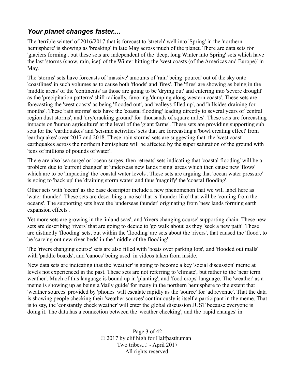#### *Your planet changes faster....*

The 'terrible winter' of 2016/2017 that is forecast to 'stretch' well into 'Spring' in the 'northern hemisphere' is showing as 'breaking' in late May across much of the planet. There are data sets for 'glaciers forming', but these sets are independent of the 'deep, long Winter into Spring' sets which have the last 'storms (snow, rain, ice)' of the Winter hitting the 'west coasts (of the Americas and Europe)' in May.

The 'storms' sets have forecasts of 'massive' amounts of 'rain' being 'poured' out of the sky onto 'coastlines' in such volumes as to cause both 'floods' and 'fires'. The 'fires' are showing as being in the 'middle areas' of the 'continents' as those are going to be 'drying out' and entering into 'severe drought' as the 'precipitation patterns' shift radically, favoring 'dumping along western coasts'. These sets are forecasting the 'west coasts' as being 'flooded out', and 'valleys filled up', and 'hillsides draining for months'. These 'rain storms' sets have the 'coastal flooding' leading directly to several years of 'central region dust storms', and 'dry/cracking ground' for 'thousands of square miles'. These sets are forecasting impacts on 'human agriculture' at the level of the 'giant farms'. These sets are providing supporting sub sets for the 'earthquakes' and 'seismic activities' sets that are forecasting a 'bowl creating effect' from 'earthquakes' over 2017 and 2018. These 'rain storms' sets are suggesting that the 'west coast' earthquakes across the northern hemisphere will be affected by the super saturation of the ground with 'tens of millions of pounds of water'.

There are also 'sea surge' or 'ocean surges, then retreats' sets indicating that 'coastal flooding' will be a problem due to 'current changes' at 'underseas new lands rising' areas which then cause new 'flows' which are to be 'impacting' the 'coastal water levels'. These sets are arguing that 'ocean water pressure' is going to 'back up' the 'draining storm water' and thus 'magnify' the 'coastal flooding'.

Other sets with 'ocean' as the base descriptor include a new phenomenon that we will label here as 'water thunder'. These sets are describing a 'noise' that is 'thunder-like' that will be 'coming from the oceans'. The supporting sets have the 'underseas thunder' originating from 'new lands forming earth expansion effects'.

Yet more sets are growing in the 'inland seas', and 'rivers changing course' supporting chain. These new sets are describing 'rivers' that are going to decide to 'go walk about' as they 'seek a new path'. These are distinctly 'flooding' sets, but within the 'flooding' are sets about the 'rivers', that caused the 'flood', to be 'carving out new river-beds' in the 'middle of the flooding'.

The 'rivers changing course' sets are also filled with 'boats over parking lots', and 'flooded out malls' with 'paddle boards', and 'canoes' being used in videos taken from inside.

New data sets are indicating that the 'weather' is going to become a key 'social discussion' meme at levels not experienced in the past. These sets are not referring to 'climate', but rather to the 'near term weather'. Much of this language is bound up in 'planting', and 'food crops' language. The 'weather' as a meme is showing up as being a 'daily guide' for many in the northern hemisphere to the extent that 'weather sources' provided by 'phones' will escalate rapidly as the 'source' for 'ad revenue'. That the data is showing people checking their 'weather sources' continuously is itself a participant in the meme. That is to say, the 'constantly check weather' will enter the global discussion JUST because everyone is doing it. The data has a connection between the 'weather checking', and the 'rapid changes' in

> Page 3 of 42 © 2017 by clif high for Halfpasthuman Two tribes...! - April 2017 All rights reserved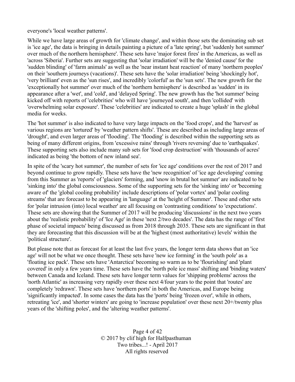everyone's 'local weather patterns'.

While we have large areas of growth for 'climate change', and within those sets the dominating sub set is 'ice age', the data is bringing in details painting a picture of a 'late spring', but 'suddenly hot summer' over much of the northern hemisphere'. These sets have 'major forest fires' in the Americas, as well as 'across 'Siberia'. Further sets are suggesting that 'solar irradiation' will be the 'denied cause' for the 'sudden blinding' of 'farm animals' as well as the 'near instant heat reaction' of many 'northern peoples' on their 'southern journeys (vacations)'. These sets have the 'solar irradiation' being 'shockingly hot', 'very brilliant' even as the 'sun rises', and incredibly 'colorful' as the 'sun sets'. The new growth for the 'exceptionally hot summer' over much of the 'northern hemisphere' is described as 'sudden' in its appearance after a 'wet', and 'cold', and 'delayed Spring'. The new growth has the 'hot summer' being kicked off with reports of 'celebrities' who will have 'journeyed south', and then 'collided' with 'overwhelming solar exposure'. These 'celebrities' are indicated to create a huge 'splash' in the global media for weeks.

The 'hot summer' is also indicated to have very large impacts on the 'food crops', and the 'harvest' as various regions are 'tortured' by 'weather pattern shifts'. These are described as including large areas of 'drought', and even larger areas of 'flooding'. The 'flooding' is described within the supporting sets as being of many different origins, from 'excessive rains' through 'rivers reversing' due to 'earthquakes'. These supporting sets also include many sub sets for 'food crop destruction' with 'thousands of acres' indicated as being 'the bottom of new inland sea'.

In spite of the 'scary hot summer', the number of sets for 'ice age' conditions over the rest of 2017 and beyond continue to grow rapidly. These sets have the 'new recognition' of 'ice age developing' coming from this Summer as 'reports' of 'glaciers' forming, and 'snow in brutal hot summer' are indicated to be 'sinking into' the global consciousness. Some of the supporting sets for the 'sinking into' or 'becoming aware of' the 'global cooling probability' include descriptions of 'polar vortex' and 'polar cooling streams' that are forecast to be appearing in 'language' at the 'height of Summer'. These and other sets for 'polar intrusion (into) local weather' are all focusing on 'contrasting conditions' to 'expectations'. These sets are showing that the Summer of 2017 will be producing 'discussions' in the next two years about the 'realistic probability' of 'Ice Age' in these 'next 2/two decades'. The data has the range of 'first phase of societal impacts' being discussed as from 2018 through 2035. These sets are significant in that they are forecasting that this discussion will be at the 'highest (most authoritative) levels' within the 'political structure'.

But please note that as forecast for at least the last five years, the longer term data shows that an 'ice age' will not be what we once thought. These sets have 'new ice forming' in the 'south pole' as a 'floating ice pack'. These sets have 'Antarctica' becoming so warm as to be 'flourishing' and 'plant covered' in only a few years time. These sets have the 'north pole ice mass' shifting and 'binding waters' between Canada and Iceland. These sets have longer term values for 'shipping problems' across the 'north Atlantic' as increasing very rapidly over these next 4/four years to the point that 'routes' are completely 'redrawn'. These sets have 'northern ports' in both the Americas, and Europe being 'significantly impacted'. In some cases the data has the 'ports' being 'frozen over', while in others, retreating 'ice', and 'shorter winters' are going to 'increase population' over these next 20+/twenty plus years of the 'shifting poles', and the 'altering weather patterns'.

> Page 4 of 42 © 2017 by clif high for Halfpasthuman Two tribes...! - April 2017 All rights reserved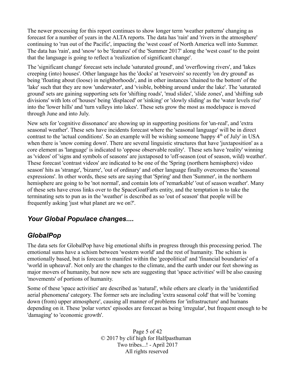The newer processing for this report continues to show longer term 'weather patterns' changing as forecast for a number of years in the ALTA reports. The data has 'rain' and 'rivers in the atmosphere' continuing to 'run out of the Pacific', impacting the 'west coast' of North America well into Summer. The data has 'rain', and 'snow' to be 'features' of the 'Summer 2017' along the 'west coast' to the point that the language is going to reflect a 'realization of significant change'.

The 'significant change' forecast sets include 'saturated ground', and 'overflowing rivers', and 'lakes creeping (into) houses'. Other language has the 'docks' at 'reservoirs' so recently 'on dry ground' as being 'floating about (loose) in neighborhoods', and in other instances 'chained to the bottom' of the 'lake' such that they are now 'underwater', and 'visible, bobbing around under the lake'. The 'saturated ground' sets are gaining supporting sets for 'shifting roads', 'mud slides', 'slide zones', and 'shifting sub divisions' with lots of 'houses' being 'displaced' or 'sinking' or 'slowly sliding' as the 'water levels rise' into the 'lower hills' and 'turn valleys into lakes'. These sets grow the most as modelspace is moved through June and into July.

New sets for 'cognitive dissonance' are showing up in supporting positions for 'un-real', and 'extra seasonal weather'. These sets have incidents forecast where the 'seasonal language' will be in direct contrast to the 'actual conditions'. So an example will be wishing someone 'happy  $4<sup>th</sup>$  of July' in USA when there is 'snow coming down'. There are several linguistic structures that have 'juxtaposition' as a core element as 'language' is indicated to 'oppose observable reality'. These sets have 'reality' winning as 'videos' of 'signs and symbols of seasons' are juxtaposed to 'off-season (out of season, wild) weather'. These forecast 'contrast videos' are indicated to be one of the 'Spring (northern hemisphere) video season' hits as 'strange', 'bizarre', 'out of ordinary' and other language finally overcomes the 'seasonal expressions'. In other words, these sets are saying that 'Spring' and then 'Summer', in the northern hemisphere are going to be 'not normal', and contain lots of 'remarkable' 'out of season weather'. Many of these sets have cross links over to the SpaceGoatFarts entity, and the temptation is to take the terminating sets to pun as in the 'weather' is described as so 'out of season' that people will be frequently asking 'just what planet are we on?'.

#### *Your Global Populace changes....*

#### *GlobalPop*

The data sets for GlobalPop have big emotional shifts in progress through this processing period. The emotional sums have a schism between 'western world' and the rest of humanity. The schism is emotionally based, but is forecast to manifest within the 'geopolitical' and 'financial boundaries' of a 'world in upheaval'. Not only are the changes to the climate, and the earth under our feet showing as major movers of humanity, but now new sets are suggesting that 'space activities' will be also causing 'movements' of portions of humanity.

Some of these 'space activities' are described as 'natural', while others are clearly in the 'unidentified aerial phenomena' category. The former sets are including 'extra seasonal cold' that will be 'coming down (from) upper atmosphere', causing all manner of problems for 'infrastructure' and humans depending on it. These 'polar vortex' episodes are forecast as being 'irregular', but frequent enough to be 'damaging' to 'economic growth'.

> Page 5 of 42 © 2017 by clif high for Halfpasthuman Two tribes...! - April 2017 All rights reserved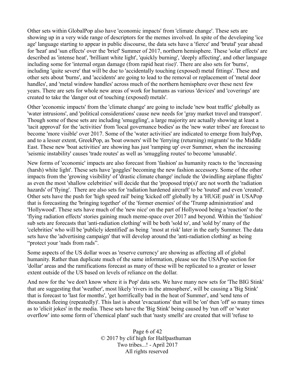Other sets within GlobalPop also have 'economic impacts' from 'climate change'. These sets are showing up in a very wide range of descriptors for the memes involved. In spite of the developing 'ice age' language starting to appear in public discourse, the data sets have a 'fierce' and 'brutal' year ahead for 'heat' and 'sun effects' over the 'brief' Summer of 2017, northern hemisphere. These 'solar effects' are described as 'intense heat', 'brilliant white light', 'quickly burning', 'deeply affecting', and other language including some for 'internal organ damage (from rapid heat rise)'. There are also sets for 'burns', including 'quite severe' that will be due to 'accidentally touching (exposed) metal fittings'. These and other sets about 'burns', and 'accidents' are going to lead to the removal or replacement of 'metal door handles', and 'metal window handles' across much of the northern hemisphere over these next few years. There are sets for whole new areas of work for humans as various 'devices' and 'coverings' are created to take the 'danger out of touching (exposed) metals'.

Other 'economic impacts' from the 'climate change' are going to include 'new boat traffic' globally as 'water intrusions', and 'political considerations' cause new needs for 'gray market travel and transport'. Though some of these sets are including 'smuggling', a large majority are actually showing at least a 'tacit approval' for the 'activities' from 'local governance bodies' as the 'new water tribes' are forecast to become 'more visible' over 2017. Some of the 'water activities' are indicated to emerge from ItalyPop, and to a lesser extent, GreekPop, as 'boat owners' will be 'ferrying (returning) migrants' to the Middle East. These new 'boat activities' are showing has just 'ramping up' over Summer, when the increasing 'seismic instability' causes 'trade routes' as well as 'smuggling routes' to become 'unusable'.

New forms of 'economic' impacts are also forecast from 'fashion' as humanity reacts to the 'increasing (harsh) white light'. These sets have 'goggles' becoming the new fashion accessory. Some of the other impacts from the 'growing visibility' of 'drastic climate change' include the 'dwindling airplane flights' as even the most 'shallow celebrities' will decide that the 'proposed trip(s)' are not worth the 'radiation hazards' of 'flying'. There are also sets for 'radiation hardened aircraft' to be 'touted' and even 'created'. Other sets have the push for 'high speed rail' being 'kicked off' globally by a 'HUGE push' in USAPop that is forecasting the 'bringing together' of the 'former enemies' of the 'Trump administration' and 'Hollywood'. These sets have much of the 'new nice' on the part of Hollywood being a 'reaction' to the 'flying radiation effects' stories gaining much meme-space over 2017 and beyond. Within the 'fashion' sub sets are forecasts that 'anti-radiation clothing' will be both 'sold to', and 'sold by' many of the 'celebrities' who will be 'publicly identified' as being 'most at risk' later in the early Summer. The data sets have the 'advertising campaign' that will develop around the 'anti-radiation clothing' as being "protect your 'nads from rads".

Some aspects of the US dollar woes as 'reserve currency' are showing as affecting all of global humanity. Rather than duplicate much of the same information, please see the USAPop section for 'dollar' areas and the ramifications forecast as many of these will be replicated to a greater or lesser extent outside of the US based on levels of reliance on the dollar.

And now for the 'we don't know where it is Pop' data sets. We have many new sets for 'The BIG Stink' that are suggesting that 'weather', most likely 'rivers in the atmosphere', will be causing a 'Big Stink' that is forecast to 'last for months', 'get horrifically bad in the heat of Summer', and 'send tens of thousands fleeing (repeatedly)'. This last is about 'evacuations' that will be 'on' then 'off' so many times as to 'elicit jokes' in the media. These sets have the 'Big Stink' being caused by 'run off' or 'water overflow' into some form of 'chemical plant' such that 'nasty smells' are created that will 'refuse to

> Page 6 of 42 © 2017 by clif high for Halfpasthuman Two tribes...! - April 2017 All rights reserved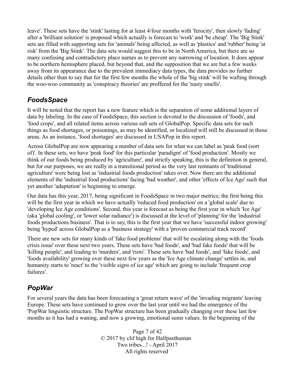leave'. These sets have the 'stink' lasting for at least 4/four months with 'ferocity', then slowly 'fading' after a 'brilliant solution' is proposed which actually is forecast to 'work' and 'be cheap'. The 'Big Stink' sets are filled with supporting sets for 'animals' being affected, as well as 'plastics' and 'rubber' being 'at risk' from the 'Big Stink'. The data sets would suggest this to be in North America, but there are so many confusing and contradictory place names as to prevent any narrowing of location. It does appear to be northern hemisphere placed, but beyond that, and the supposition that we are but a few weeks away from its appearance due to the prevalent immediacy data types, the data provides no further details other than to say that for the first few months the whole of the 'big stink' will be wafting through the woo-woo community as 'conspiracy theories' are proffered for the 'nasty smells'.

## *FoodsSpace*

It will be noted that the report has a new feature which is the separation of some additional layers of data by labeling. In the case of FoodsSpace, this section is devoted to the discussion of 'foods', and 'food crops', and all related items across various sub sets of GlobalPop. Specific data sets for such things as food shortages, or poisonings, as may be identified, or localized will still be discussed in those areas. As an instance, 'food shortages' are discussed in USAPop in this report.

Across GlobalPop are now appearing a number of data sets for what we can label as 'peak food (sort of)'. In these sets, we have 'peak food' for this particular 'paradigm' of 'food production'. Mostly we think of our foods being produced by 'agriculture', and strictly speaking, this is the definition in general, but for our purposes, we are really in a transitional period as the very last remnants of 'traditional agriculture' were being lost as 'industrial foods production' takes over. Now there are the additional elements of the 'industrial food productions' facing 'bad weather', and other 'effects of Ice Age' such that yet another 'adaptation' is beginning to emerge.

Our data has this year, 2017, being significant in FoodsSpace in two major metrics; the first being this will be the first year in which we have actually 'reduced food production' on a 'global scale' due to 'developing Ice Age conditions'. Second, this year is forecast as being the first year in which 'Ice Age' (aka 'global cooling', or 'lower solar radiance') is discussed at the level of 'planning' for the 'industrial foods productions business'. That is to say, this is the first year that we have 'successful indoor growing' being 'hyped' across GlobalPop as a 'business strategy' with a 'proven commercial track record'.

There are new sets for many kinds of 'fake food problems' that will be escalating along with the 'foods crisis issue' over these next two years. These sets have 'bad foods', and 'bad fake foods' that will be 'killing people', and leading to 'murders', and 'riots'. These sets have 'bad foods', and 'fake foods', and 'foods availability' growing over these next few years as the 'Ice Age climate change' settles in, and humanity starts to 'react' to the 'visible signs of ice age' which are going to include 'frequent crop failures'.

## *PopWar*

For several years the data has been forecasting a 'great return wave' of the 'invading migrants' leaving Europe. These sets have continued to grow over the last year until we had the emergence of the 'PopWar linguistic structure. The PopWar structure has been gradually changing over these last few months as it has had a waning, and now a growing, emotional sums values. In the beginning of the

> Page 7 of 42 © 2017 by clif high for Halfpasthuman Two tribes...! - April 2017 All rights reserved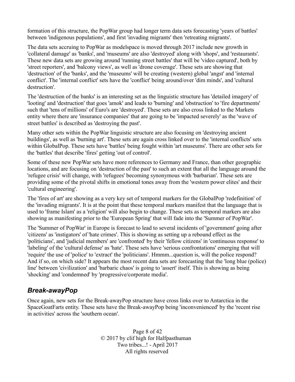formation of this structure, the PopWar group had longer term data sets forecasting 'years of battles' between 'indigenous populations', and first 'invading migrants' then 'retreating migrants'.

The data sets accruing to PopWar as modelspace is moved through 2017 include new growth in 'collateral damage' as 'banks', and 'museums' are also 'destroyed' along with 'shops', and 'restaurants'. These new data sets are growing around 'running street battles' that will be 'video captured', both by 'street reporters', and 'balcony views', as well as 'drone coverage'. These sets are showing that 'destruction' of the 'banks', and the 'museums' will be creating (western) global 'angst' and 'internal conflict'. The 'internal conflict' sets have the 'conflict' being around/over 'dim minds', and 'cultural destruction'.

The 'destruction of the banks' is an interesting set as the linguistic structure has 'detailed imagery' of 'looting' and 'destruction' that goes 'amok' and leads to 'burning' and 'obstruction' to 'fire departments' such that 'tens of millions' of Euro's are 'destroyed'. These sets are also cross linked to the Markets entity where there are 'insurance companies' that are going to be 'impacted severely' as the 'wave of street battles' is described as 'destroying the past'.

Many other sets within the PopWar linguistic structure are also focusing on 'destroying ancient buildings', as well as 'burning art'. These sets are again cross linked over to the 'internal conflicts' sets within GlobalPop. These sets have 'battles' being fought within 'art museums'. There are other sets for the 'battles' that describe 'fires' getting 'out of control'.

Some of these new PopWar sets have more references to Germany and France, than other geographic locations, and are focusing on 'destruction of the past' to such an extent that all the language around the 'refugee crisis' will change, with 'refugees' becoming synonymous with 'barbarian'. These sets are providing some of the pivotal shifts in emotional tones away from the 'western power elites' and their 'cultural engineering'.

The 'fires of art' are showing as a very key set of temporal markers for the GlobalPop 'redefinition' of the 'invading migrants'. It is at the point that these temporal markers manifest that the language that is used to 'frame Islam' as a 'religion' will also begin to change. These sets as temporal markers are also showing as manifesting prior to the 'European Spring' that will fade into the 'Summer of PopWar'.

The 'Summer of PopWar' in Europe is forecast to lead to several incidents of 'government' going after 'citizens' as 'instigators' of 'hate crimes'. This is showing as setting up a rebound effect as the 'politicians', and 'judicial members' are 'confronted' by their 'fellow citizens' in 'continuous response' to 'labeling' of the 'cultural defense' as 'hate'. These sets have 'serious confrontations' emerging that will 'require' the use of 'police' to 'extract' the 'politicians'. Hmmm...question is, will the police respond? And if so, on which side? It appears the most recent data sets are forecasting that the 'long blue (police) line' between 'civilization' and 'barbaric chaos' is going to 'assert' itself. This is showing as being 'shocking' and 'condemned' by 'progressive/corporate media'.

#### *Break-awayPop*

Once again, new sets for the Break-awayPop structure have cross links over to Antarctica in the SpaceGoatFarts entity. These sets have the Break-awayPop being 'inconvenienced' by the 'recent rise in activities' across the 'southern ocean'.

> Page 8 of 42 © 2017 by clif high for Halfpasthuman Two tribes...! - April 2017 All rights reserved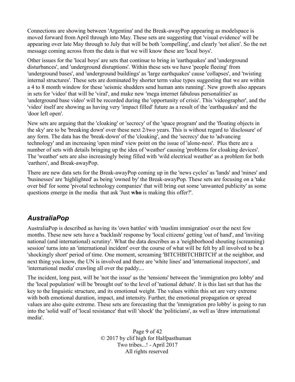Connections are showing between 'Argentina' and the Break-awayPop appearing as modelspace is moved forward from April through into May. These sets are suggesting that 'visual evidence' will be appearing over late May through to July that will be both 'compelling', and clearly 'not alien'. So the net message coming across from the data is that we will know these are 'local boys'.

Other issues for the 'local boys' are sets that continue to bring in 'earthquakes' and 'underground disturbances', and 'underground disruptions'. Within these sets we have 'people fleeing' from 'underground bases', and 'underground buildings' as 'large earthquakes' cause 'collapses', and 'twisting internal structures'. These sets are dominated by shorter term value types suggesting that we are within a 4 to 8 month window for these 'seismic shudders send human ants running'. New growth also appears in sets for 'video' that will be 'viral', and make new 'mega internet fabulous personalities' as 'underground base video' will be recorded during the 'opportunity of crisis'. This 'videographer', and the 'video' itself are showing as having very 'impact filled' future as a result of the 'earthquakes' and the 'door left open'.

New sets are arguing that the 'cloaking' or 'secrecy' of the 'space program' and the 'floating objects in the sky' are to be 'breaking down' over these next 2/two years. This is without regard to 'disclosure' of any form. The data has the 'break-down' of the 'cloaking', and the 'secrecy' due to 'advancing technology' and an increasing 'open mind' view point on the issue of 'alone-ness'. Plus there are a number of sets with details bringing up the idea of 'weather' causing 'problems for cloaking devices'. The 'weather' sets are also increasingly being filled with 'wild electrical weather' as a problem for both 'earthers', and Break-awayPop.

There are new data sets for the Break-awayPop coming up in the 'news cycles' as 'lands' and 'mines' and 'businesses' are 'highlighted' as being 'owned by' the Break-awayPop. These sets are focusing on a 'take over bid' for some 'pivotal technology companies' that will bring out some 'unwanted publicity' as some questions emerge in the media that ask 'Just **who** is making this offer?'.

#### *AustraliaPop*

AustraliaPop is described as having its 'own battles' with 'muslim immigration' over the next few months. These new sets have a 'backlash' response by 'local citizens' getting 'out of hand', and 'inviting national (and international) scrutiny'. What the data describes as a 'neighborhood shouting (screaming) session' turns into an 'international incident' over the course of what will be felt by all involved to be a 'shockingly short' period of time. One moment, screaming 'BITCHBITCHBITCH' at the neighbor, and next thing you know, the UN is involved and there are 'white lines' and 'international inspectors', and 'international media' crawling all over the paddy....

The incident, long past, will be 'not the issue' as the 'tensions' between the 'immigration pro lobby' and the 'local population' will be 'brought out' to the level of 'national debate'. It is this last set that has the key to the linguistic structure, and its emotional weight. The values within this set are very extreme with both emotional duration, impact, and intensity. Further, the emotional propagation or spread values are also quite extreme. These sets are forecasting that the 'immigration pro lobby' is going to run into the 'solid wall' of 'local resistance' that will 'shock' the 'politicians', as well as 'draw international media'.

> Page 9 of 42 © 2017 by clif high for Halfpasthuman Two tribes...! - April 2017 All rights reserved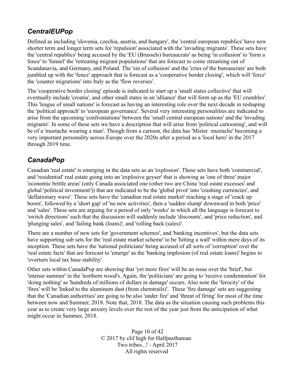#### *CentralEUPop*

Defined as including 'slovenia, czechia, austria, and hungary', the 'central european republics' have new shorter term and longer term sets for 'repulsion' associated with the 'invading migrants'. These sets have the 'central republics' being accused by the 'EU (Brussels) bureaucrats' as being 'in collusion' to 'form a fence' to 'funnel' the 'retreating migrant populations' that are forecast to come streaming out of Scandanavia, and Germany, and Poland. The 'sin of collusion' and the 'cries of the bureaucrats' are both jumbled up with the 'fence' approach that is forecast as a 'cooperative border closing', which will 'force' the 'counter migrations' into Italy as the 'flow reverses'.

The 'cooperative border closing' episode is indicated to start up a 'small states collective' that will eventually include 'croatia', and other small states in an 'alliance' that will form up as the 'EU crumbles'. This 'league of small nations' is forecast as having an interesting role over the next decade in reshaping the 'political approach' to 'european governance'. Several very interesting personalities are indicated to arise from the upcoming 'confrontations' between the 'small central european nations' and the 'invading migrants'. In some of these sets we have a description that will arise from 'political cartooning', and will be of a 'mustache wearing a man'. Though from a cartoon, the data has 'Mister mustache' becoming a very important personality across Europe over the 2020s after a period as a 'local hero' in the 2017 through 2019 time.

#### *CanadaPop*

Canadian 'real estate' is emerging in the data sets as an 'explosion'. These sets have both 'commercial', and 'residential' real estate going into an 'explosive geyser' that is showing as 'one of three' major 'economic brittle areas' (only Canada associated one (other two are China 'real estate excesses' and global 'political investment')) that are indicated to be the 'global pivot' into 'crashing currencies', and 'deflationary wave'. These sets have the 'canadian real estate market' reaching a stage of 'crack up boom', followed by a 'short gap' of 'no new activities', then a 'sudden slump' downward in both 'price' and 'sales'. These sets are arguing for a period of only 'weeks' in which all the language is forecast to 'switch directions' such that the discussion will suddenly include 'discounts', and 'price reduction', and 'plunging sales', and 'failing bank (loans)', and 'rolling back (sales)'.

There are a number of new sets for 'government schemes', and 'banking incentives', but the data sets have supporting sub sets for the 'real estate market scheme' to be 'hitting a wall' within mere days of its inception. These sets have the 'national politicians' being accused of all sorts of 'corruption' over the 'real estate facts' that are forecast to 'emerge' as the 'banking implosion (of real estate loans)' begins to 'overturn local tax base stability'.

Other sets within CanadaPop are showing that 'yet more fires' will be an issue over the 'brief', but 'intense summer' in the 'northern wood's. Again, the 'politicians' are going to 'receive condemnation' for 'doing nothing' as 'hundreds of millions of dollars in damage' occurs. Also note the 'ferocity' of the 'fires' will be 'linked to the aluminum dust (from chemtrails)'. These 'fire damage' sets are suggesting that the 'Canadian authorities' are going to be also 'under fire' and 'threat of firing' for most of the time between now and Summer, 2018. Note that, 2018. The data as the situation causing such problems this year as to create very large anxiety levels over the rest of the year just from the anticipation of what might occur in Summer, 2018.

> Page 10 of 42 © 2017 by clif high for Halfpasthuman Two tribes...! - April 2017 All rights reserved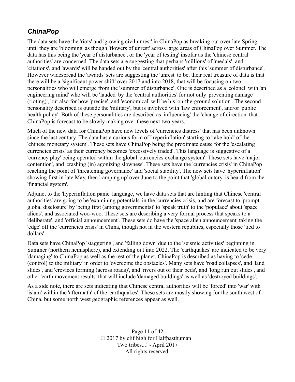#### *ChinaPop*

The data sets have the 'riots' and 'growing civil unrest' in ChinaPop as breaking out over late Spring until they are 'blooming' as though 'flowers of unrest' across large areas of ChinaPop over Summer. The data has this being the 'year of disturbance', or the 'year of testing' insofar as the 'chinese central authorities' are concerned. The data sets are suggesting that perhaps 'millions' of 'medals', and 'citations', and 'awards' will be handed out by the 'central authorities' after this 'summer of disturbance'. However widespread the 'awards' sets are suggesting the 'unrest' to be, their real treasure of data is that there will be a 'significant power shift' over 2017 and into 2018, that will be focusing on two personalities who will emerge from the 'summer of disturbance'. One is described as a 'colonel' with 'an engineering mind' who will be 'lauded' by the 'central authorities' for not only 'preventing damage (rioting)', but also for how 'precise', and 'economical' will be his 'on-the-ground solution'. The second personality described is outside the 'military', but is involved with 'law enforcement', and/or 'public health policy'. Both of these personalities are described as 'influencing' the 'change of direction' that ChinaPop is forecast to be slowly making over these next two years.

Much of the new data for ChinaPop have new levels of 'currencies distress' that has been unknown since the last century. The data has a curious form of 'hyperinflation' starting to 'take hold' of the 'chinese monetary system'. These sets have ChinaPop being the proximate cause for the 'escalating currencies crisis' as their currency becomes 'excessively traded'. This language is suggestive of a 'currency play' being operated within the global 'currencies exchange system'. These sets have 'major contention', and 'crashing (in) agonizing slowness'. These sets have the 'currencies crisis' in ChinaPop reaching the point of 'threatening governance' and 'social stability'. The new sets have 'hyperinflation' showing first in late May, then 'ramping up' over June to the point that 'global outcry' is heard from the 'financial system'.

Adjunct to the 'hyperinflation panic' language, we have data sets that are hinting that Chinese 'central authorities' are going to be 'examining potentials' in the 'currencies crisis, and are forecast to 'prompt global disclosure' by 'being first (among governments)' to 'speak truth' to the 'populace' about 'space aliens', and associated woo-woo. These sets are describing a very formal process that speaks to a 'deliberate', and 'official announcement'. These sets do have the 'space alien announcement' taking the 'edge' off the 'currencies crisis' in China, though not in the western republics, especially those 'tied to dollars'.

Data sets have ChinaPop 'staggering', and 'falling down' due to the 'seismic activities' beginning in Summer (northern hemisphere), and extending out into 2022. The 'earthquakes' are indicated to be very 'damaging' to ChinaPop as well as the rest of the planet. ChinaPop is described as having to 'cede (control) to the military' in order to 'overcome the obstacles'. Many sets have 'road collapses', and 'land slides', and 'crevices forming (across roads)', and 'rivers out of their beds', and 'long run out slides', and other 'earth movement results' that will include 'damaged buildings' as well as 'destroyed buildings'.

As a side note, there are sets indicating that Chinese central authorities will be 'forced' into 'war' with 'islam' within the 'aftermath' of the 'earthquakes'. These sets are mostly showing for the south west of China, but some north west geographic references appear as well.

> Page 11 of 42 © 2017 by clif high for Halfpasthuman Two tribes...! - April 2017 All rights reserved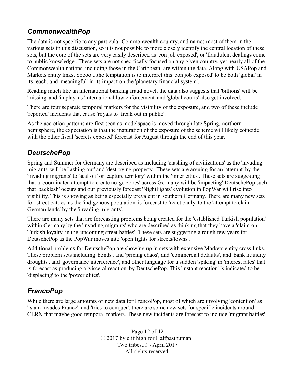## *CommonwealthPop*

The data is not specific to any particular Commonwealth country, and names most of them in the various sets in this discussion, so it is not possible to more closely identify the central location of these sets, but the core of the sets are very easily described as 'con job exposed', or 'fraudulent dealings come to public knowledge'. These sets are not specifically focused on any given country, yet nearly all of the Commonwealth nations, including those in the Caribbean, are within the data. Along with USAPop and Markets entity links. Soooo....the temptation is to interpret this 'con job exposed' to be both 'global' in its reach, and 'meaningful' in its impact on the 'planetary financial system'.

Reading much like an international banking fraud novel, the data also suggests that 'billions' will be 'missing' and 'in play' as 'international law enforcement' and 'global courts' also get involved.

There are four separate temporal markers for the visibility of the exposure, and two of these include 'reported' incidents that cause 'royals to freak out in public'.

As the accretion patterns are first seen as modelspace is moved through late Spring, northern hemisphere, the expectation is that the maturation of the exposure of the scheme will likely coincide with the other fiscal 'secrets exposed' forecast for August through the end of this year.

## *DeutschePop*

Spring and Summer for Germany are described as including 'clashing of civilizations' as the 'invading migrants' will be 'lashing out' and 'destroying property'. These sets are arguing for an 'attempt' by the 'invading migrants' to 'seal off' or 'capture territory' within the 'inner cities'. These sets are suggesting that a 'coordinated attempt to create no-go zones' across Germany will be 'impacting' DeutschePop such that 'backlash' occurs and our previously forecast 'NightFights' evolution in PopWar will rise into visibility. This is showing as being especially prevalent in southern Germany. There are many new sets for 'street battles' as the 'indigenous population' is forecast to 'react badly' to the 'attempt to claim German lands' by the 'invading migrants'.

There are many sets that are forecasting problems being created for the 'established Turkish population' within Germany by the 'invading migrants' who are described as thinking that they have a 'claim on Turkish loyalty' in the 'upcoming street battles'. These sets are suggesting a rough few years for DeutschePop as the PopWar moves into 'open fights for streets/towns'.

Additional problems for DeutschePop are showing up in sets with extensive Markets entity cross links. These problem sets including 'bonds', and 'pricing chaos', and 'commercial defaults', and 'bank liquidity droughts', and 'governance interference', and other language for a sudden 'spiking' in 'interest rates' that is forecast as producing a 'visceral reaction' by DeutschePop. This 'instant reaction' is indicated to be 'displacing' to the 'power elites'.

## *FrancoPop*

While there are large amounts of new data for FrancoPop, most of which are involving 'contention' as 'islam invades France', and 'tries to conquer', there are some new sets for specific incidents around CERN that maybe good temporal markers. These new incidents are forecast to include 'migrant battles'

> Page 12 of 42 © 2017 by clif high for Halfpasthuman Two tribes...! - April 2017 All rights reserved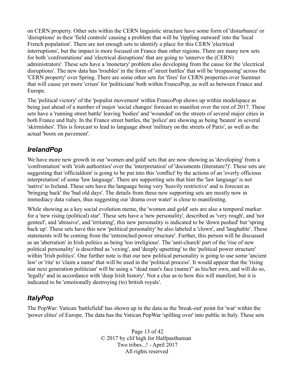on CERN property. Other sets within the CERN linguistic structure have some form of 'disturbance' or 'disruptions' in their 'field controls' causing a problem that will be 'rippling outward' into the 'local French population'. There are not enough sets to identify a place for this CERN 'electrical interruptions', but the impact is more focused on France than other regions. There are many new sets for both 'confrontations' and 'electrical disruptions' that are going to 'unnerve the (CERN) administrators'. These sets have a 'monetary' problem also developing from the cause for the 'electrical disruptions'. The new data has 'troubles' in the form of 'street battles' that will be 'trespassing' across the 'CERN property' over Spring. There are some other sets for 'fires' for CERN properties over Summer that will cause yet more 'crises' for 'politicians' both within FrancoPop, as well as between France and Europe.

The 'political victory' of the 'populist movement' within FrancoPop shows up within modelspace as being just ahead of a number of major 'social changes' forecast to manifest over the rest of 2017. These sets have a 'running street battle' leaving 'bodies' and 'wounded' on the streets of several major cities in both France and Italy. In the France street battles, the 'police' are showing as being 'beaten' in several 'skirmishes'. This is forecast to lead to language about 'military on the streets of Paris', as well as the actual 'boots on pavement'.

#### *IrelandPop*

We have more new growth in our 'women and gold' sets that are now showing as 'developing' from a 'confrontation' with 'irish authorities' over the 'interpretation' of 'documents (literature?)'. These sets are suggesting that 'officialdom' is going to be put into this 'conflict' by the actions of an 'overly officious interpretation' of some 'law language'. There are supporting sets that hint the 'law language' is not 'native' to Ireland. These sets have the language being very 'heavily restrictive' and is forecast as 'bringing back' the 'bad old days'. The details from these new supporting sets are mostly now in immediacy data values, thus suggesting our 'drama over water' is close to manifesting.

While showing as a key social evolution meme, the 'women and gold' sets are also a temporal marker for a 'new rising (political) star'. These sets have a 'new personality', described as 'very rough', and 'not genteel', and 'abrasive', and 'irritating', this new personality is indicated to be 'down pushed' but 'spring back up'. These sets have this new 'political personality' be also labeled a 'clown', and 'laughable'. These statements will be coming from the 'entrenched power structure'. Further, this person will be discussed as an 'aberration' in Irish politics as being 'too irreligious'. The 'anti-church' part of the 'rise of new political personality' is described as 'vexing', and 'deeply upsetting' to the 'political power structure' within 'Irish politics'. One further note is that our new political personality is going to use some 'ancient' law' or 'rite' to 'claim a name' that will be used in the 'political process'. It would appear that the 'rising star next generation politician' will be using a "dead man's face (name)" as his/her own, and will do so, 'legally' and in accordance with 'deep Irish history'. Not a clue as to how this will manifest, but it is indicated to be 'emotionally destroying (to) british royals'.

#### *ItalyPop*

The PopWar: Vatican 'battlefield' has shown up in the data as the 'break-out' point for 'war' within the 'power elites' of Europe. The data has the Vatican PopWar 'spilling over' into public in Italy. These sets

> Page 13 of 42 © 2017 by clif high for Halfpasthuman Two tribes...! - April 2017 All rights reserved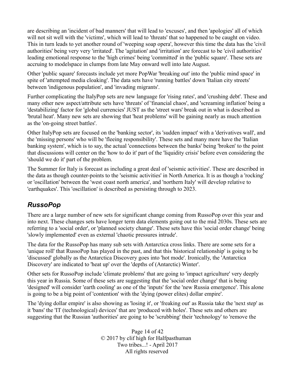are describing an 'incident of bad manners' that will lead to 'excuses', and then 'apologies' all of which will not sit well with the 'victims', which will lead to 'threats' that so happened to be caught on video. This in turn leads to yet another round of 'weeping soap opera', however this time the data has the 'civil authorities' being very very 'irritated'. The 'agitation' and 'irritation' are forecast to be 'civil authorities' leading emotional response to the 'high crimes' being 'committed' in the 'public square'. These sets are accruing to modelspace in clumps from late May onward well into late August.

Other 'public square' forecasts include yet more PopWar 'breaking out' into the 'public mind space' in spite of 'attempted media cloaking'. The data sets have 'running battles' down 'Italian city streets' between 'indigenous population', and 'invading migrants'.

Further complicating the ItalyPop sets are new language for 'rising rates', and 'crushing debt'. These and many other new aspect/attribute sets have 'threats' of 'financial chaos', and 'screaming inflation' being a 'destabilizing' factor for 'global currencies' JUST as the 'street wars' break out in what is described as 'brutal heat'. Many new sets are showing that 'heat problems' will be gaining nearly as much attention as the 'on-going street battles'.

Other ItalyPop sets are focused on the 'banking sector', its 'sudden impact' with a 'derivatives wall', and the 'missing persons' who will be 'fleeing responsibility'. These sets and many more have the 'Italian banking system', which is to say, the actual 'connections between the banks' being 'broken' to the point that discussions will center on the 'how to do it' part of the 'liquidity crisis' before even considering the 'should we do it' part of the problem.

The Summer for Italy is forecast as including a great deal of 'seismic activities'. These are described in the data as though counter-points to the 'seismic activities' in North America. It is as though a 'rocking' or 'oscillation' between the 'west coast north america', and 'northern Italy' will develop relative to 'earthquakes'. This 'oscillation' is described as persisting through to 2023.

## *RussoPop*

There are a large number of new sets for significant change coming from RussoPop over this year and into next. These changes sets have longer term data elements going out to the mid 2030s. These sets are referring to a 'social order', or 'planned society change'. These sets have this 'social order change' being 'slowly implemented' even as external 'chaotic pressures intrude'.

The data for the RussoPop has many sub sets with Antarctica cross links. There are some sets for a 'unique roll' that RussoPop has played in the past, and that this 'historical relationship' is going to be 'discussed' globally as the Antarctica Discovery goes into 'hot mode'. Ironically, the 'Antarctica Discovery' are indicated to 'heat up' over the 'depths of (Antarctic) Winter'.

Other sets for RussoPop include 'climate problems' that are going to 'impact agriculture' very deeply this year in Russia. Some of these sets are suggesting that the 'social order change' that is being 'designed' will consider 'earth cooling' as one of the 'inputs' for the 'new Russia emergence'. This alone is going to be a big point of 'contention' with the 'dying (power elites) dollar empire'.

The 'dying dollar empire' is also showing as 'losing it', or 'freaking out' as Russia take the 'next step' as it 'bans' the 'IT (technological) devices' that are 'produced with holes'. These sets and others are suggesting that the Russian 'authorities' are going to be 'scrubbing' their 'technology' to 'remove the

> Page 14 of 42 © 2017 by clif high for Halfpasthuman Two tribes...! - April 2017 All rights reserved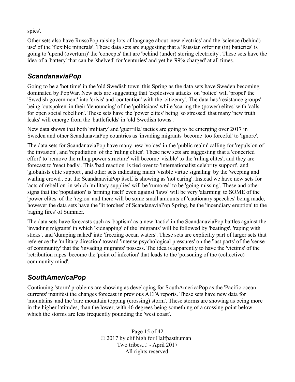spies'.

Other sets also have RussoPop raising lots of language about 'new electrics' and the 'science (behind) use' of the 'flexible minerals'. These data sets are suggesting that a 'Russian offering (in) batteries' is going to 'upend (overturn)' the 'concepts' that are 'behind (under) storing electricity'. These sets have the idea of a 'battery' that can be 'shelved' for 'centuries' and yet be '99% charged' at all times.

#### *ScandanaviaPop*

Going to be a 'hot time' in the 'old Swedish town' this Spring as the data sets have Sweden becoming dominated by PopWar. New sets are suggesting that 'explosives attacks' on 'police' will 'propel' the 'Swedish government' into 'crisis' and 'contention' with the 'citizenry'. The data has 'resistance groups' being 'outspoken' in their 'denouncing' of the 'politicians' while 'scaring the (power) elites' with 'calls for open social rebellion'. These sets have the 'power elites' being 'so stressed' that many 'new truth leaks' will emerge from the 'battlefields' in 'old Swedish towns'.

New data shows that both 'military' and 'guerrilla' tactics are going to be emerging over 2017 in Sweden and other ScandanaviaPop countries as 'invading migrants' become 'too forceful' to 'ignore'.

The data sets for ScandanaviaPop have many new 'voices' in the 'public realm' calling for 'repulsion of the invasion', and 'repudiation' of the 'ruling elites'. These new sets are suggesting that a 'concerted effort' to 'remove the ruling power structure' will become 'visible' to the 'ruling elites', and they are forecast to 'react badly'. This 'bad reaction' is tied over to 'internationalist celebrity support', and 'globalists elite support', and other sets indicating much 'visible virtue signaling' by the 'weeping and wailing crowd', but the ScandanaviaPop itself is showing as 'not caring'. Instead we have new sets for 'acts of rebellion' in which 'military supplies' will be 'rumored' to be 'going missing'. These and other signs that the 'population' is 'arming itself' even against 'laws' will be very 'alarming' to SOME of the 'power elites' of the 'region' and there will be some small amounts of 'cautionary speeches' being made, however the data sets have the 'lit torches' of ScandanaviaPop Spring, be the 'incendiary eruption' to the 'raging fires' of Summer.

The data sets have forecasts such as 'baptism' as a new 'tactic' in the ScandanaviaPop battles against the 'invading migrants' in which 'kidnapping' of the 'migrants' will be followed by 'beatings', 'raping with sticks', and 'dumping naked' into 'freezing ocean waters'. These sets are explicitly part of larger sets that reference the 'military direction' toward 'intense psychological pressures' on the 'last parts' of the 'sense of community' that the 'invading migrants' possess. The idea is apparently to have the 'victims' of the 'retribution rapes' become the 'point of infection' that leads to the 'poisoning of the (collective) community mind'.

## *SouthAmericaPop*

Continuing 'storm' problems are showing as developing for SouthAmericaPop as the 'Pacific ocean currents' manifest the changes forecast in previous ALTA reports. These sets have new data for 'mountains' and the 'rare mountain topping (crossing) storm'. These storms are showing as being more in the higher latitudes, than the lower, with 46 degrees being something of a crossing point below which the storms are less frequently pounding the 'west coast'.

> Page 15 of 42 © 2017 by clif high for Halfpasthuman Two tribes...! - April 2017 All rights reserved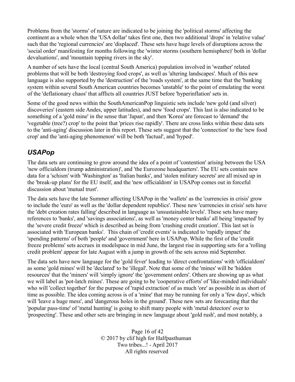Problems from the 'storms' of nature are indicated to be joining the 'political storms' affecting the continent as a whole when the 'USA dollar' takes first one, then two additional 'drops' in 'relative value' such that the 'regional currencies' are 'displaced'. These sets have huge levels of disruptions across the 'social order' manifesting for months following the 'winter storms (southern hemisphere)' both in 'dollar devaluations', and 'mountain topping rivers in the sky'.

A number of sets have the local (central South America) population involved in 'weather' related problems that will be both 'destroying food crops', as well as 'altering landscapes'. Much of this new language is also supported by the 'destruction' of the 'roads system', at the same time that the 'banking system within several South American countries becomes 'unstable' to the point of emulating the worst of the 'deflationary chaos' that afflicts all countries JUST before 'hyperinflation' sets in.

Some of the good news within the SouthAmericanPop linguistic sets include 'new gold (and silver) discoveries' (eastern side Andes, upper latitudes), and new 'food crops'. This last is also indicated to be something of a 'gold mine' in the sense that 'Japan', and then 'Korea' are forecast to 'demand' the 'vegetable (tree?) crop' to the point that 'prices rise rapidly'. There are cross links within these data sets to the 'anti-aging' discussion later in this report. These sets suggest that the 'connection' to the 'new food crop' and the 'anti-aging phenomenon' will be both 'factual', and 'hyped'.

#### *USAPop*

The data sets are continuing to grow around the idea of a point of 'contention' arising between the USA 'new officialdom (trump administration)', and 'the Eurozone headquarters'. The EU sets contain new data for a 'schism' with 'Washington' as 'Italian banks', and 'stolen military secrets' are all mixed up in the 'break-up plans' for the EU itself, and the 'new officialdom' in USAPop comes out in forceful discussion about 'mutual trust'.

The data sets have the late Summer affecting USAPop in the 'wallets' as the 'currencies in crisis' grow to include the 'euro' as well as the 'dollar dependent republics'. These new 'currencies in crisis' sets have the 'debt creation rates falling' described in language as 'unsustainable levels'. These sets have many references to 'banks', and 'savings associations', as well as 'money center banks' all being 'impacted' by the 'severe credit freeze' which is described as being from 'crashing credit creation'. This last set is associated with 'European banks'. This chain of 'credit events' is indicated to 'rapidly impact' the 'spending patterns' of both 'people' and 'government' here in USAPop. While the first of the 'credit freeze problems' sets accrues in modelspace in mid June, the largest rise in supporting sets for a 'rolling credit problem' appear for late August with a jump in growth of the sets across mid September.

The data sets have new language for the 'gold fever' leading to 'direct confrontations' with 'officialdom' as some 'gold mines' will be 'declared' to be 'illegal'. Note that some of the 'mines' will be 'hidden resources' that the 'miners' will 'simply ignore' the 'government orders'. Others are showing up as what we will label as 'pot-latch mines'. These are going to be 'cooperative efforts' of 'like-minded individuals' who will 'collect together' for the purpose of 'rapid extraction' of as much 'ore' as possible in as short of time as possible. The idea coming across is of a 'mine' that may be running for only a 'few days', which will 'leave a huge mess', and 'dangerous holes in the ground'. These new sets are forecasting that the 'popular pass-time' of 'metal hunting' is going to shift many people with 'metal detectors' over to 'prospecting'. These and other sets are bringing in new language about 'gold rush', and most notably, a

> Page 16 of 42 © 2017 by clif high for Halfpasthuman Two tribes...! - April 2017 All rights reserved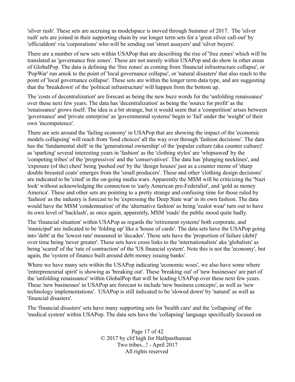'silver rush'. These sets are accruing as modelspace is moved through Summer of 2017. The 'silver rush' sets are joined in their supporting chain by our longer term sets for a 'great silver call-out' by 'officialdom' via 'corporations' who will be sending out 'street assayers' and 'silver buyers'.

There are a number of new sets within USAPop that are describing the rise of 'free zones' which will be translated as 'governance free zones'. These are not merely within USAPop and do show in other areas of GlobalPop. The data is defining the 'free zones' as coming from 'financial infrastructure collapse', or 'PopWar' run amok to the point of 'local governance collapse', or 'natural disasters' that also reach to the point of 'local governance collapse'. These sets are within the longer term data type, and are suggesting that the 'breakdown' of the 'political infrastructure' will happen from the bottom up.

The 'costs of decentralization' are forecast as being the new buzz words for the 'unfolding renaissance' over these next few years. The data has 'decentralization' as being the 'source for profit' as the 'renaissance' grows itself. The idea is a bit strange, but it would seem that a 'competition' arises between 'governance' and 'private enterprise' as 'governmental systems' begin to 'fail' under the 'weight' of their own 'incompetence'.

There are sets around the 'failing economy' in USAPop that are showing the impact of the 'economic models collapsing' will reach from 'food choices' all the way over through 'fashion decisions'. The data has the 'fundamental shift' in the 'generational ownership' of the 'popular culture (aka counter culture)' as 'sparking' several interesting years in 'fashion' as the 'clothing styles' are 'whipsawed' by the 'competing tribes' of the 'progressives' and the 'conservatives'. The data has 'plunging necklines', and 'exposure (of the) chest' being 'pushed out' by the 'design houses' just as a counter meme of 'sharp double breasted coats' emerges from the 'small producers'. These and other 'clothing design decisions' are indicated to be 'cited' in the on-going media wars. Apparently the MSM will be criticizing the 'Nazi look' without acknowledging the connection to 'early American pre-Federalist', and 'gold as money America'. These and other sets are pointing to a pretty strange and confusing time for those ruled by 'fashion' as the industry is forecast to be 'expressing the Deep State war' in its own fashion. The data would have the MSM 'condemnation' of the 'alternative fashion' as being 'zealot wear' turn out to have its own level of 'backlash', as once again, apparently, MSM 'reads' the public mood quite badly.

The 'financial situation' within USAPop as regards the 'retirement systems' both corporate, and 'municipal' are indicated to be 'folding up' like a 'house of cards'. The data sets have the USAPop going into 'debt' at the 'lowest rate' measured in 'decades'. These sets have the 'proportion of failure (debt)' over time being 'never greater'. These sets have cross links to the 'internationalists' aka 'globalists' as being 'scared' of the 'rate of contraction' of the 'US financial system'. Note this is not the 'economy', but again, the 'system of finance built around debt money issuing banks'.

Where we have many sets within the USAPop indicating 'economic woes', we also have some where 'entrepreneurial spirit' is showing as 'breaking out'. These 'breaking out' of 'new businesses' are part of the 'unfolding renaissance' within GlobalPop that will be leading USAPop over these next few years. These 'new businesses' in USAPop are forecast to include 'new business concepts', as well as 'new technology implementations'. USAPop is still indicated to be 'slowed down' by 'natural' as well as 'financial disasters'.

The 'financial disasters' sets have many supporting sets for 'health care' and the 'collapsing' of the 'medical system' within USAPop. The data sets have the 'collapsing' language specifically focused on

> Page 17 of 42 © 2017 by clif high for Halfpasthuman Two tribes...! - April 2017 All rights reserved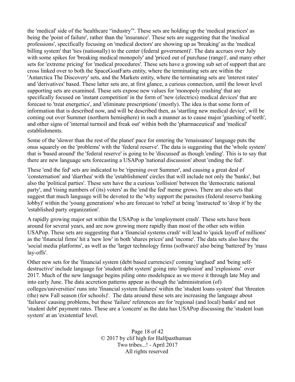the 'medical' side of the 'healthcare "industry"'. These sets are holding up the 'medical practices' as being the 'point of failure', rather than the 'insurance'. These sets are suggesting that the 'medical professions', specifically focusing on 'medical doctors' are showing up as 'breaking' as the 'medical billing system' that 'ties (nationally) to the center (federal government)'. The data accrues over July with some spikes for 'breaking medical monopoly' and 'priced out of purchase (range)', and many other sets for 'extreme pricing' for 'medical procedures'. These sets have a growing sub set of support that are cross linked over to both the SpaceGoatFarts entity, where the terminating sets are within the 'Antarctica The Discovery' sets, and the Markets entity, where the terminating sets are 'interest rates' and 'derivatives' based. These latter sets are, at first glance, a curious connection, until the lower level supporting sets are examined. These sets expose new values for 'monopoly crashing' that are specifically focused on 'instant competition' in the form of 'new (electrics) medical devices' that are forecast to 'treat energetics', and 'eliminate prescriptions' (mostly). The idea is that some form of information that is described now, and will be described then, as 'startling new medical device', will be coming out over Summer (northern hemisphere) in such a manner as to cause major 'gnashing of teeth', and other signs of 'internal turmoil and freak out' within both the 'pharmaceutical' and 'medical' establishments.

Some of the 'slower than the rest of the planet' pace for entering the 'renaissance' language puts the onus squarely on the 'problems' with the 'federal reserve'. The data is suggesting that the 'whole system' that is 'based around' the 'federal reserve' is going to be 'discussed' as though 'ending'. This is to say that there are new language sets forecasting a USAPop 'national discussion' about 'ending the fed'.

These 'end the fed' sets are indicated to be 'ripening over Summer', and causing a great deal of 'consternation' and 'diarrhea' with the 'establishment' circles that will include not only the 'banks', but also the 'political parties'. These sets have the a curious 'collision' between the 'democratic national party', and 'rising numbers of (its) voters' as the 'end the fed' meme grows. There are also sets that suggest that much language will be devoted to the 'why support the parasites (federal reserve banking lobby)' within the 'young generations' who are forecast to 'rebel' at being 'instructed' to 'drop it' by the 'established party organization'.

A rapidly growing major set within the USAPop is the 'employment crash'. These sets have been around for several years, and are now growing more rapidly than most of the other sets within USAPop. These sets are suggesting that a 'financial systems crash' will lead to 'quick layoff of millions' as the 'financial firms' hit a 'new low' in both 'shares prices' and 'income'. The data sets also have the 'social media platforms', as well as the 'larger technology firms (software)' also being 'battered' by 'mass lay-offs'.

Other new sets for the 'financial system (debt based currencies)' coming 'unglued' and 'being selfdestructive' include language for 'student debt system' going into 'implosion' and 'explosions' over 2017. Much of the new language begins piling onto modelspace as we move it through late May and into early June. The data accretion patterns appear as though the 'administration (of) colleges/universities' runs into 'financial system failures' within the 'student loans system' that 'threaten (the) new Fall season (for schools)'. The data around these sets are increasing the language about 'failures' causing problems, but these 'failure' references are for 'regional (and local) banks' and not 'student debt' payment rates. These are a 'concern' as the data has USAPop discussing the 'student loan system' at an 'existential' level.

> Page 18 of 42 © 2017 by clif high for Halfpasthuman Two tribes...! - April 2017 All rights reserved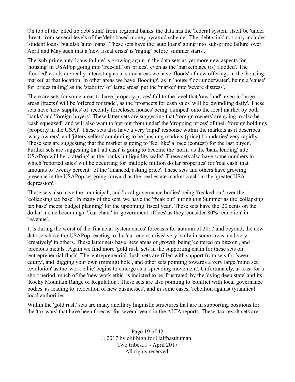On top of the 'piled up debt stink' from 'regional banks' the data has the 'federal system' itself be 'under threat' from several levels of the 'debt based money pyramid scheme'. The 'debt stink' not only includes 'student loans' but also 'auto loans'. These sets have the 'auto loans' going into 'sub-prime failure' over April and May such that a 'new fiscal crisis' is 'raging' before 'summer starts'.

The 'sub-prime auto loans failure' is growing again in the data sets as yet more new aspects for 'housing' in USAPop going into 'free-fall' on 'prices', even as the 'marketplace (is) flooded'. The 'flooded' words are really interesting as in some areas we have 'floods' of new offerings in the 'housing market' at that location. In other areas we have 'flooding', as in 'house floor underwater', being a 'cause' for 'prices falling' as the 'stability' of 'large areas' put the 'market' into 'severe distress'.

There are sets for some areas to have 'property prices' fall to the level that 'raw land', even in 'large areas (tracts)' will be 'offered for trade', as the 'prospects for cash sales' will be 'dwindling daily'. These sets have 'new supplies' of 'recently foreclosed houses' being 'dumped' onto the local market by both 'banks' and 'foreign buyers'. These latter sets are suggesting that 'foreign owners' are going to also be 'cash squeezed', and will also want to 'get out from under' the 'dropping prices' of their 'foreign holdings (property in the USA)'. These sets also have a very 'rapid' response within the markets as it describes 'wary owners', and 'jittery sellers' combining to be 'pushing markets (price) boundaries' very rapidly'. These sets are suggesting that the market is going to 'feel like' a 'race (contest) for the last buyer'. Further sets are suggesting that 'all cash' is going to become the 'norm' as the 'bank lending' into USAPop will be 'cratering' as the 'banks hit liquidity walls'. These sets also have some numbers in which 'reported sales' will be occurring for 'multiple million dollar properties' for 'real cash' that amounts to 'twenty percent' of the 'financed, asking price'. These sets and others have growing presence in the USAPop set going forward as the 'real estate market crash' in the 'greater USA depression'.

These sets also have the 'municipal', and 'local governance bodies' being 'freaked out' over the 'collapsing tax base'. In many of the sets, we have the 'freak out' hitting this Summer as the 'collapsing tax base' meets 'budget planning' for the upcoming 'fiscal year'. These sets have the '20 cents on the dollar' meme becoming a 'fear chant' in 'government offices' as they 'consider 80% reduction' in 'revenue'.

It is during the worst of the 'financial system chaos' forecasts for autumn of 2017 and beyond, the new data sets have the USAPop reacting to the 'currencies crisis' very badly in some areas, and very 'creatively' in others. These latter sets have 'new areas of growth' being 'centered on bitcoin', and 'precious metals'. Again we find more 'gold rush' sets in the supporting chain for these sets on 'entrepreneurial flush'. The 'entrepreneurial flush' sets are filled with support from sets for 'sweat equity', and 'digging your own (mining) hole', and other sets pointing towards a very large 'mind set revolution' as the 'work ethic' begins to emerge as a 'spreading movement'. Unfortunately, at least for a short period, much of the 'new work ethic' is indicted to be 'frustrated' by the 'dying deep state' and its 'Rocky Mountain Range of Regulation'. These sets are also pointing to 'conflict with local governance bodies' as leading to 'relocation of new businesses', and in some cases, 'rebellion against tyrannical local authorities'.

Within the 'gold rush' sets are many ancillary linguistic structures that are in supporting positions for the 'tax wars' that have been forecast for several years in the ALTA reports. These 'tax revolt sets are

> Page 19 of 42 © 2017 by clif high for Halfpasthuman Two tribes...! - April 2017 All rights reserved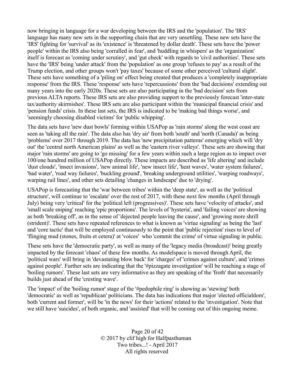now bringing in language for a war developing between the IRS and the 'population'. The 'IRS' language has many new sets in the supporting chain that are very unsettling. These new sets have the 'IRS' fighting for 'survival' as its 'existence' is 'threatened by dollar death'. These sets have the 'power people' within the IRS also being 'corralled in fear', and 'huddling in whispers' as the 'organization' itself is forecast as 'coming under scrutiny', and 'gut check' with regards to 'civil authorities'. These sets have the 'IRS' being 'under attack' from the 'population' as one group 'refuses to pay' as a result of the Trump election, and other groups won't 'pay taxes' because of some other perceived 'cultural slight'. These sets have something of a 'piling on' effect being created that produces a 'completely inappropriate response' from the IRS. These 'response' sets have 'repercussions' from the 'bad decisions' extending out many years into the early 2020s. These sets are also participating in the 'bad decision' sets from previous ALTA reports. These IRS sets are also providing support to the previously forecast 'inter-state tax/authority skirmishes'. These IRS sets are also participant within the 'municipal financial crisis' and 'pension funds' crisis. In these last sets, the IRS is indicated to be 'making bad things worse', and 'seemingly choosing disabled victims' for 'public whipping'.

The data sets have 'new dust bowls' forming within USAPop as 'rain storms' along the west coast are seen as 'taking all the rain'. The data also has 'dry air' from both 'south' and 'north (Canada)' as being 'problems' over 2017 through 2019. The data has 'new precipitation patterns' emerging which will 'dry out' the 'central north American plains' as well as the 'eastern river valleys'. These sets are showing that major 'rain storms' are going to 'go missing' for a few years within such a large region as to impact over 100/one hundred million of USAPop directly. These impacts are described as 'life altering' and include 'dust clouds', 'insect invasions', 'new animal life', 'new insect life', 'heat waves', 'water system failures', 'bad water', 'road way failures', 'buckling ground', 'breaking underground utilities', 'warping roadways', warping rail lines', and other sets detailing 'changes in landscape' due to 'drying'.

USAPop is forecasting that the 'war between tribes' within the 'deep state', as well as the 'political structure', will continue to 'escalate' over the rest of 2017, with these next few months (April through July) being very 'critical' for the 'political left (progressives)'. These sets have 'velocity of attacks', and 'small scale sniping' reaching 'epic proportions'. The levels of 'hysteria', and 'failing voices' are showing as both 'breaking off', as in the sense of 'dejected people leaving the cause', and 'growing more shrill (strident)'. These sets have repeated references to what is known as 'virtue signaling' as being the 'last' and 'core tactic' that will be employed continuously to the point that 'public rejection' rises to level of 'flinging mud (stones, fruits et cetera)' at 'voices' who 'commit the crime' of virtue signaling in public.

These sets have the 'democratic party', as well as many of the 'legacy media (broadcast)' being greatly impacted by the forecast 'chaos' of these few months. As modelspace is moved through April, the 'political wars' will bring in 'devastating blow back' for 'charges' of 'crimes against culture', and 'crimes against people'. Further sets are indicating that the '#pizzagate investigation' will be reaching a stage of 'boiling rumors'. These last sets are very informative as they are speaking of the 'froth' that necessarily builds just ahead of the 'cresting wave'.

The 'impact' of the 'boiling rumor' stage of the '#pedophile ring' is showing as 'stewing' both 'democratic' as well as 'republican' politicians. The data has indications that major 'elected officialdom', both 'current and former', will be 'in the news' for their 'actions' related to the 'investigation'. Note that we still have 'suicides', of both organic, and 'assisted' that will be coming out of this ongoing meme.

> Page 20 of 42 © 2017 by clif high for Halfpasthuman Two tribes...! - April 2017 All rights reserved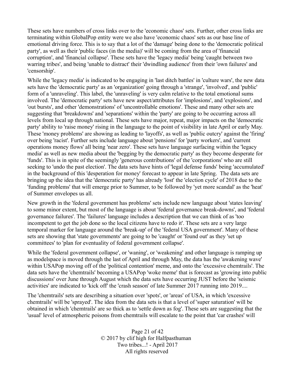These sets have numbers of cross links over to the 'economic chaos' sets. Further, other cross links are terminating within GlobalPop entity were we also have 'economic chaos' sets as our base line of emotional driving force. This is to say that a lot of the 'damage' being done to the 'democratic political party', as well as their 'public faces (in the media)' will be coming from the area of 'financial corruption', and 'financial collapse'. These sets have the 'legacy media' being 'caught between two warring tribes', and being 'unable to distract' their 'dwindling audience' from their 'own failures' and 'censorship'.

While the 'legacy media' is indicated to be engaging in 'last ditch battles' in 'culture wars', the new data sets have the 'democratic party' as an 'organization' going through a 'strange', 'involved', and 'public' form of a 'unraveling'. This label, the 'unraveling' is very calm relative to the total emotional sums involved. The 'democratic party' sets have new aspect/attributes for 'implosions', and 'explosions', and 'out bursts', and other 'demonstrations' of 'uncontrollable emotions'. These and many other sets are suggesting that 'breakdowns' and 'separations' within the 'party' are going to be occurring across all levels from local up through national. These sets have major, repeat, major impacts on the 'democratic party' ability to 'raise money' rising in the language to the point of visibility in late April or early May. These 'money problems' are showing as leading to 'layoffs', as well as 'public outcry' against the 'firing' over being 'racist'. Further sets include language about 'pensions' for 'party workers', and 'current operations money flows' all being 'near zero'. These sets have language surfacing within the 'legacy media' as well as new media about the 'begging by the democratic party' as they become desperate for 'funds'. This is in spite of the seemingly 'generous contributions' of the 'corporations' who are still seeking to 'undo the past election'. The data sets have hints of 'legal defense funds' being 'accumulated' in the background of this 'desperation for money' forecast to appear in late Spring. The data sets are bringing up the idea that the 'democratic party' has already 'lost' the 'election cycle' of 2018 due to the 'funding problems' that will emerge prior to Summer, to be followed by 'yet more scandal' as the 'heat' of Summer envelopes us all.

New growth in the 'federal government has problems' sets include new language about 'states leaving' to some minor extent, but most of the language is about 'federal governance break-downs', and 'federal governance failures'. The 'failures' language includes a description that we can think of as 'too incompetent to get the job done so the local citizens have to redo it'. These sets are a very large temporal marker for language around the 'break-up' of the 'federal USA government'. Many of these sets are showing that 'state governments' are going to be 'caught' or 'found out' as they 'set up committees' to 'plan for eventuality of federal government collapse'.

While the 'federal government collapse', or 'waning', or 'weakening' and other language is ramping up as modelspace is moved through the last of April and through May, the data has the 'awakening wave' within USAPop moving off of the 'political contention' meme, and onto the 'excessive chemtrails'. The data sets have the 'chemtrails' becoming a USAPop 'woke meme' that is forecast as 'growing into public discussions' over June through August which the data sets have occurring JUST before the 'seismic activities' are indicated to 'kick off' the 'crash season' of late Summer 2017 running into 2019....

The 'chemtrails' sets are describing a situation over 'spots', or 'areas' of USA, in which 'excessive chemtrails' will be 'sprayed'. The idea from the data sets is that a level of 'super saturation' will be obtained in which 'chemtrails' are so thick as to 'settle down as fog'. These sets are suggesting that the 'usual' level of atmospheric poisons from chemtrails will escalate to the point that 'car crashes' will

> Page 21 of 42 © 2017 by clif high for Halfpasthuman Two tribes...! - April 2017 All rights reserved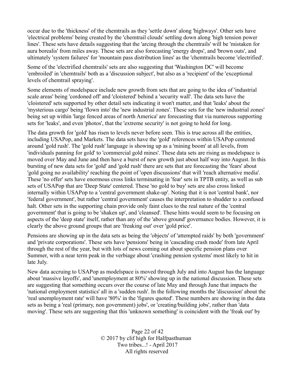occur due to the 'thickness' of the chemtrails as they 'settle down' along 'highways'. Other sets have 'electrical problems' being created by the 'chemtrail clouds' settling down along 'high tension power lines'. These sets have details suggesting that the 'arcing through the chemtrails' will be 'mistaken for aura borealis' from miles away. These sets are also forecasting 'energy drops', and 'brown outs', and ultimately 'system failures' for 'mountain pass distribution lines' as the 'chemtrails become 'electrified'.

Some of the 'electrified chemtrails' sets are also suggesting that 'Washington DC' will become 'embroiled' in 'chemtrails' both as a 'discussion subject', but also as a 'recipient' of the 'exceptional levels of chemtrail spraying'.

Some elements of modelspace include new growth from sets that are going to the idea of 'industrial scale areas' being 'cordoned off' and 'cloistered' behind a 'security wall'. The data sets have the 'cloistered' sets supported by other detail sets indicating it won't matter, and that 'leaks' about the 'mysterious cargo' being 'flown into' the 'new industrial zones'. These sets for the 'new industrial zones' being set up within 'large fenced areas of north America' are forecasting that via numerous supporting sets for 'leaks', and even 'photos', that the 'extreme security' is not going to hold for long.

The data growth for 'gold' has risen to levels never before seen. This is true across all the entities, including USAPop, and Markets. The data sets have the 'gold' references within USAPop centered around 'gold rush'. The 'gold rush' language is showing up as a 'mining boom' at all levels, from 'individuals panning for gold' to 'commercial gold mines'. These data sets are rising as modelspace is moved over May and June and then have a burst of new growth just about half way into August. In this bursting of new data sets for 'gold' and 'gold rush' there are sets that are forecasting the 'fears' about 'gold going no availability' reaching the point of 'open discussions' that will 'reach alternative media'. These 'no offer' sets have enormous cross links terminating in 'fear' sets in TPTB entity, as well as sub sets of USAPop that are 'Deep State' centered. These 'no gold to buy' sets are also cross linked internally within USAPop to a 'central government shake-up'. Noting that it is not 'central bank', nor 'federal government', but rather 'central government' causes the interpretation to shudder to a confused halt. Other sets in the supporting chain provide only faint clues to the real nature of the 'central government' that is going to be 'shaken up', and 'cleansed'. These hints would seem to be focusing on aspects of the 'deep state' itself, rather than any of the 'above ground' governance bodies. However, it is clearly the above ground groups that are 'freaking out' over 'gold price'.

Pensions are showing up in the data sets as being the 'objects' of 'attempted raids' by both 'government' and 'private corporations'. These sets have 'pensions' being in 'cascading crash mode' from late April through the rest of the year, but with lots of news coming out about specific pension plans over Summer, with a near term peak in the verbiage about 'crashing pension systems' most likely to hit in late July.

New data accruing to USAPop as modelspace is moved through July and into August has the language about 'massive layoffs', and 'unemployment at 80%' showing up in the national discussion. These sets are suggesting that something occurs over the course of late May and through June that impacts the 'national employment statistics' all in a 'sudden rush'. In the following months the 'discussion' about the 'real unemployment rate' will have '80%' in the 'figures quoted'. These numbers are showing in the data sets as being a 'real (primary, non government) jobs', or 'creating/building jobs', rather than 'data moving'. These sets are suggesting that this 'unknown something' is coincident with the 'freak out' by

> Page 22 of 42 © 2017 by clif high for Halfpasthuman Two tribes...! - April 2017 All rights reserved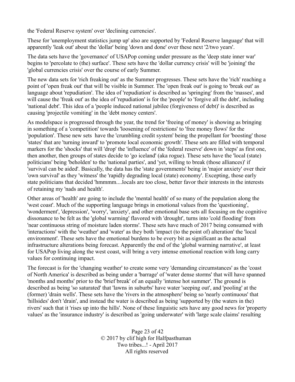the 'Federal Reserve system' over 'declining currencies'.

These for 'unemployment statistics jump up' also are supported by 'Federal Reserve language' that will apparently 'leak out' about the 'dollar' being 'down and done' over these next '2/two years'.

The data sets have the 'governance' of USAPop coming under pressure as the 'deep state inner war' begins to 'percolate to (the) surface'. These sets have the 'dollar currency crisis' will be 'joining' the 'global currencies crisis' over the course of early Summer.

The new data sets for 'rich freaking out' as the Summer progresses. These sets have the 'rich' reaching a point of 'open freak out' that will be visible in Summer. The 'open freak out' is going to 'break out' as language about 'repudiation'. The idea of 'repudiation' is described as 'springing' from the 'masses', and will cause the 'freak out' as the idea of 'repudiation' is for the 'people' to 'forgive all the debt', including 'national debt'. This idea of a 'people induced national jubilee (forgiveness of debt)' is described as causing 'projectile vomiting' in the 'debt money centers'.

As modelspace is progressed through the year, the trend for 'freeing of money' is showing as bringing in something of a 'competition' towards 'loosening of restrictions' to 'free money flows' for the 'population'. These new sets have the 'crumbling credit system' being the propellant for 'boosting' those 'states' that are 'turning inward' to 'promote local economic growth'. These sets are filled with temporal markers for the 'shocks' that will 'drop' the 'influence' of the 'federal reserve' down in 'steps' as first one, then another, then groups of states decide to 'go iceland' (aka rogue). These sets have the 'local (state) politicians' being 'beholden' to the 'national parties', and 'yet, willing to break (those alliances)' if 'survival can be aided'. Basically, the data has the 'state governments' being in 'major anxiety' over their 'own survival' as they 'witness' the 'rapidly degrading local (state) economy'. Excepting, those early state politicians that decided 'hmmmm....locals are too close, better favor their interests in the interests of retaining my 'nads and health'.

Other areas of 'health' are going to include the 'mental health' of so many of the population along the 'west coast'. Much of the supporting language brings in emotional values from the 'questioning', 'wonderment', 'depression', 'worry', 'anxiety', and other emotional base sets all focusing on the cognitive dissonance to be felt as the 'global warming' flavored with 'drought', turns into 'cold flooding' from 'near continuous string of moisture laden storms'. These sets have much of 2017 being consumed with 'interactions' with the 'weather' and 'water' as they both 'impact (to the point of) alteration' the 'local environment'. These sets have the emotional burdens to be every bit as significant as the actual infrastructure alterations being forecast. Apparently the end of the 'global warming narrative', at least for USAPop living along the west coast, will bring a very intense emotional reaction with long carry values for continuing impact.

The forecast is for the 'changing weather' to create some very 'demanding circumstances' as the 'coast of North America' is described as being under a 'barrage' of 'water dense storms' that will have spanned 'months and months' prior to the 'brief break' of an equally 'intense hot summer'. The ground is described as being 'so saturated' that 'lawns in suburbs' have water 'seeping out', and 'pooling' at the (former) 'drain wells'. These sets have the 'rivers in the atmosphere' being so 'nearly continuous' that 'hillsides' don't 'drain', and instead the water is described as being 'supported by (the waters in the) rivers' such that it 'rises up into the hills'. None of these linguistic sets have any good news for 'property values' as the 'insurance industry' is described as 'going underwater' with 'large scale claims' resulting

> Page 23 of 42 © 2017 by clif high for Halfpasthuman Two tribes...! - April 2017 All rights reserved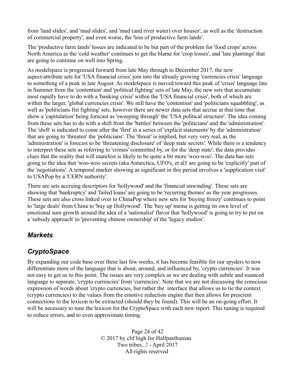from 'land slides', and 'mud slides', and 'mud (and river water) over houses', as well as the 'destruction of commercial property', and even worse, the 'loss of productive farm lands'.

The 'productive farm lands' losses are indicated to be but part of the problem for 'food crops' across North America as the 'cold weather' continues to get the blame for 'crop losses', and 'late plantings' that are going to continue on well into Spring.

As modelspace is progressed forward from late May through to December 2017, the new aspect/attribute sets for 'USA financial crisis' join into the already growing 'currencies crisis' language to something of a peak in late August. As modelspace is moved toward this peak of 'crisis' language late in Summer from the 'contention' and 'political fighting' sets of late May, the new sets that accumulate most rapidly have to do with a 'banking crisis' within the 'USA financial crisis', both of which are within the larger, 'global currencies crisis'. We still have the 'contention' and 'politicians squabbling', as well as 'politicians fist fighting' sets, however there are newer data sets that accrue at that time that show a 'capitulation' being forecast as 'sweeping through' the 'USA political structure'. The idea coming from these sets has to do with a shift from the 'battles' between the 'politicians' and the 'administration'. The 'shift' is indicated to come after the 'first' in a series of 'explicit statements' by the 'administration' that are going to 'threaten' the 'politicians'. The 'threat' is implied, but very very real, as the 'administration' is forecast to be 'threatening disclosure' of 'deep state secrets'. While there is a tendency to interpret these sets as referring to 'crimes' committed by, or for the 'deep state', the data provides clues that the reality that will manifest is likely to be quite a bit more 'woo-woo'. The data has sets going to the idea that 'woo-woo secrets (aka Antarctica, UFO's, et al)' are going to be 'explicitly' part of the 'negotiations'. A temporal marker showing as significant in this period involves a 'supplication visit' to USAPop by a 'CERN authority'.

There are sets accruing descriptors for 'hollywood' and the 'financial unwinding'. These sets are showing that 'bankruptcy' and 'failed loans' are going to be 'recurring themes' as the year progresses. These sets are also cross linked over to ChinaPop where new sets for 'buying frenzy' continues to point to 'large deals' from China to 'buy up Hollywood'. The 'buy up' meme is getting its own level of emotional sum growth around the idea of a 'nationalist' flavor that 'hollywood' is going to try to put on a 'subsidy approach' to 'preventing chinese ownership' of the 'legacy studios'.

#### *Markets*

#### *CryptoSpace*

By expanding our code base over these last few weeks, it has become feasible for our spyders to now differentiate more of the language that is about, around, and influenced by, 'crypto currencies'. It was not easy to get us to this point. The issues are very complex as we are dealing with subtle and nuanced language to separate, 'crypto currencies' from 'currencies'. Note that we are not discussing the conscious expression of words about 'crypto currencies, but rather the interface that allows us to tie the context (crypto currencies) to the values from the emotive reduction engine that then allows for prescient connections to the lexicon to be extracted (should they be found). This will be an on-going effort. It will be necessary to tune the lexicon for the CryptoSpace with each new report. This tuning is required to reduce errors, and to even approximate timing.

> Page 24 of 42 © 2017 by clif high for Halfpasthuman Two tribes...! - April 2017 All rights reserved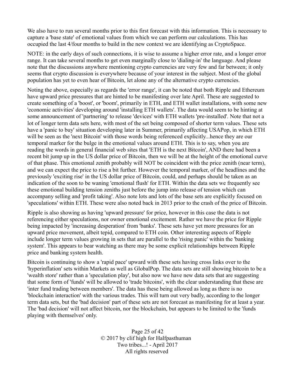We also have to run several months prior to this first forecast with this information. This is necessary to capture a 'base state' of emotional values from which we can perform our calculations. This has occupied the last 4/four months to build in the new context we are identifying as CryptoSpace.

NOTE: in the early days of such connections, it is wise to assume a higher error rate, and a longer error range. It can take several months to get even marginally close to 'dialing-in' the language. And please note that the discussions anywhere mentioning crypto currencies are very few and far between; it only seems that crypto discussion is everywhere because of your interest in the subject. Most of the global population has yet to even hear of Bitcoin, let alone any of the alternative crypto currencies.

Noting the above, especially as regards the 'error range', it can be noted that both Ripple and Ethereum have upward price pressures that are hinted to be manifesting over late April. These are suggested to create something of a 'boost', or 'boom', primarily in ETH, and ETH wallet installations, with some new 'economic activities' developing around 'installing ETH wallets'. The data would seem to be hinting at some announcement of 'partnering' to release 'devices' with ETH wallets 'pre-installed'. Note that not a lot of longer term data sets here, with most of the set being composed of shorter term values. These sets have a 'panic to buy' situation developing later in Summer, primarily affecting USAPop, in which ETH will be seen as the 'next Bitcoin' with those words being referenced explicitly...hence they are our temporal marker for the bulge in the emotional values around ETH. This is to say, when you are reading the words in general financial web sites that 'ETH is the next Bitcoin', AND there had been a recent bit jump up in the US dollar price of Bitcoin, then we will be at the height of the emotional curve of that phase. This emotional zenith probably will NOT be coincident with the price zenith (near term), and we can expect the price to rise a bit further. However the temporal marker, of the headlines and the previously 'exciting rise' in the US dollar price of Bitcoin, could, and perhaps should be taken as an indication of the soon to be waning 'emotional flush' for ETH. Within the data sets we frequently see these emotional building tension zeniths just before the jump into release of tension which can accompany selling and 'profit taking'. Also note lots and lots of the base sets are explicitly focused on 'speculations' within ETH. These were also noted back in 2013 prior to the crash of the price of Bitcoin.

Ripple is also showing as having 'upward pressure' for price, however in this case the data is not referencing either speculations, nor owner emotional excitement. Rather we have the price for Ripple being impacted by 'increasing desperation' from 'banks'. These sets have yet more pressures for an upward price movement, albeit tepid, compared to ETH coin. Other interesting aspects of Ripple include longer term values growing in sets that are parallel to the 'rising panic' within the 'banking system'. This appears to bear watching as there may be some explicit relationships between Ripple price and banking system health.

Bitcoin is continuing to show a 'rapid pace' upward with these sets having cross links over to the 'hyperinflation' sets within Markets as well as GlobalPop. The data sets are still showing bitcoin to be a 'wealth store' rather than a 'speculation play', but also now we have new data sets that are suggesting that some form of 'funds' will be allowed to 'trade bitcoins', with the clear understanding that these are 'inter fund trading between members'. The data has these being allowed as long as there is no 'blockchain interaction' with the various trades. This will turn out very badly, according to the longer term data sets, but the 'bad decision' part of these sets are not forecast as manifesting for at least a year. The 'bad decision' will not affect bitcoin, nor the blockchain, but appears to be limited to the 'funds playing with themselves' only.

> Page 25 of 42 © 2017 by clif high for Halfpasthuman Two tribes...! - April 2017 All rights reserved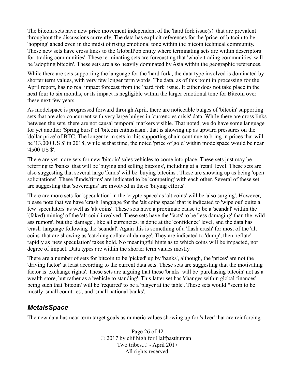The bitcoin sets have new price movement independent of the 'hard fork issue(s)' that are prevalent throughout the discussions currently. The data has explicit references for the 'price' of bitcoin to be 'hopping' ahead even in the midst of rising emotional tone within the bitcoin technical community. These new sets have cross links to the GlobalPop entity where terminating sets are within descriptors for 'trading communities'. These terminating sets are forecasting that 'whole trading communities' will be 'adopting bitcoin'. These sets are also heavily dominated by Asia within the geographic references.

While there are sets supporting the language for the 'hard fork', the data type involved is dominated by shorter term values, with very few longer term words. The data, as of this point in processing for the April report, has no real impact forecast from the 'hard fork' issue. It either does not take place in the next four to six months, or its impact is negligible within the larger emotional tone for Bitcoin over these next few years.

As modelspace is progressed forward through April, there are noticeable bulges of 'bitcoin' supporting sets that are also concurrent with very large bulges in 'currencies crisis' data. While there are cross links between the sets, there are not causal temporal markers visible. That noted, we do have some language for yet another 'Spring burst' of 'bitcoin enthusiasm', that is showing up as upward pressures on the 'dollar price' of BTC. The longer term sets in this supporting chain continue to bring in prices that will be '13,000 US \$' in 2018, while at that time, the noted 'price of gold' within modelspace would be near '4500 US \$'.

There are yet more sets for new 'bitcoin' sales vehicles to come into place. These sets just may be referring to 'banks' that will be 'buying and selling bitcoins', including at a 'retail' level. These sets are also suggesting that several large 'funds' will be 'buying bitcoins'. These are showing up as being 'open solicitations'. These 'funds/firms' are indicated to be 'competing' with each other. Several of these set are suggesting that 'sovereigns' are involved in these 'buying efforts'.

There are more sets for 'speculation' in the 'crypto space' as 'alt coins' will be 'also surging'. However, please note that we have 'crash' language for the 'alt coins space' that is indicated to 'wipe out' quite a few 'speculators' as well as 'alt coins'. These sets have a proximate cause to be a 'scandal' within the '(faked) mining' of the 'alt coin' involved. These sets have the 'facts' to be 'less damaging' than the 'wild ass rumors', but the 'damage', like all currencies, is done at the 'confidence' level, and the data has 'crash' language following the 'scandal'. Again this is something of a 'flash crash' for most of the 'alt coins' that are showing as 'catching collateral damage'. They are indicated to 'dump', then 'reflate' rapidly as 'new speculation' takes hold. No meaningful hints as to which coins will be impacted, nor degree of impact. Data types are within the shorter term values mostly.

There are a number of sets for bitcoin to be 'picked' up by 'banks', although, the 'prices' are not the 'driving factor' at least according to the current data sets. These sets are suggesting that the motivating factor is 'exchange rights'. These sets are arguing that these 'banks' will be 'purchasing bitcoin' not as a wealth store, but rather as a 'vehicle to standing'. This latter set has 'changes within global finances' being such that 'bitcoin' will be 'required' to be a 'player at the table'. These sets would \*seem to be mostly 'small countries', and 'small national banks'.

#### *MetalsSpace*

The new data has near term target goals as numeric values showing up for 'silver' that are reinforcing

Page 26 of 42 © 2017 by clif high for Halfpasthuman Two tribes...! - April 2017 All rights reserved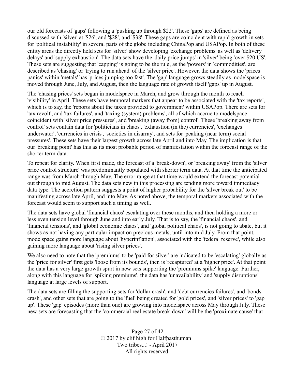our old forecasts of 'gaps' following a 'pushing up through \$22'. These 'gaps' are defined as being discussed with 'silver' at '\$26', and '\$28', and '\$38'. These gaps are coincident with rapid growth in sets for 'political instability' in several parts of the globe including ChinaPop and USAPop. In both of these entity areas the directly held sets for 'silver' show developing 'exchange problems' as well as 'delivery delays' and 'supply exhaustion'. The data sets have the 'daily price jumps' in 'silver' being 'over \$20 US'. These sets are suggesting that 'capping' is going to be the rule, as the 'powers' in 'commodities', are described as 'chasing' or 'trying to run ahead' of the 'silver price'. However, the data shows the 'prices panics' within 'metals' has 'prices jumping too fast'. The 'gap' language grows steadily as modelspace is moved through June, July, and August, then the language rate of growth itself 'gaps' up in August.

The 'chasing prices' sets began in modelspace in March, and grow through the month to reach 'visibility' in April. These sets have temporal markers that appear to be associated with the 'tax reports', which is to say, the 'reports about the taxes provided to government' within USAPop. There are sets for 'tax revolt', and 'tax failures', and 'taxing (system) problems', all of which accrue to modelspace coincident with 'silver price pressures', and 'breaking (away from) control'. These 'breaking away from control' sets contain data for 'politicians in chaos', 'exhaustion (in the) currencies', 'exchanges underwater', 'currencies in crisis', 'societies in disarray', and sets for 'peaking (near term) social pressures'. These sets have their largest growth across late April and into May. The implication is that our 'breaking point' has this as its most probable period of manifestation within the forecast range of the shorter term data.

To repeat for clarity. When first made, the forecast of a 'break-down', or 'breaking away' from the 'silver price control structure' was predominantly populated with shorter term data. At that time the anticipated range was from March through May. The error range at that time would extend the forecast potential out through to mid August. The data sets new in this processing are tending more toward immediacy data type. The accretion pattern suggests a point of higher probability for the 'silver break out' to be manifesting across late April, and into May. As noted above, the temporal markers associated with the forecast would seem to support such a timing as well.

The data sets have global 'financial chaos' escalating over these months, and then holding a more or less even tension level through June and into early July. That is to say, the 'financial chaos', and 'financial tensions', and 'global economic chaos', and 'global political chaos', is not going to abate, but it shows as not having any particular impact on precious metals, until into mid July. From that point, modelspace gains more language about 'hyperinflation', associated with the 'federal reserve', while also gaining more language about 'rising silver prices'.

We also need to note that the 'premiums' to be 'paid for silver' are indicated to be 'escalating' globally as the 'price for silver' first gets 'loose from its bounds', then is 'recaptured' at a 'higher price'. At that point the data has a very large growth spurt in new sets supporting the 'premiums spike' language. Further, along with this language for 'spiking premiums', the data has 'unavailability' and 'supply disruptions' language at large levels of support.

The data sets are filling the supporting sets for 'dollar crash', and 'debt currencies failures', and 'bonds crash', and other sets that are going to the 'fuel' being created for 'gold prices', and 'silver prices' to 'gap up'. These 'gap' episodes (more than one) are growing into modelspace across May through July. These new sets are forecasting that the 'commercial real estate break-down' will be the 'proximate cause' that

> Page 27 of 42 © 2017 by clif high for Halfpasthuman Two tribes...! - April 2017 All rights reserved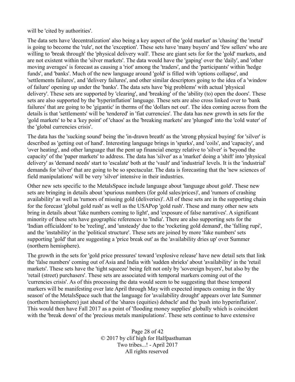will be 'cited by authorities'.

The data sets have 'decentralization' also being a key aspect of the 'gold market' as 'chasing' the 'metal' is going to become the 'rule', not the 'exception'. These sets have 'many buyers' and 'few sellers' who are willing to 'break through' the 'physical delivery wall'. These are giant sets for for the 'gold' markets, and are not existent within the 'silver markets'. The data would have the 'gaping' over the 'daily', and 'other moving averages' is forecast as causing a 'riot' among the 'traders', and the 'participants' within 'hedge funds', and 'banks'. Much of the new language around 'gold' is filled with 'options collapse', and 'settlements failures', and 'delivery failures', and other similar descriptors going to the idea of a 'window of failure' opening up under the 'banks'. The data sets have 'big problems' with actual 'physical delivery'. These sets are supported by 'clearing', and 'breaking' of the 'ability (to) open the doors'. These sets are also supported by the 'hyperinflation' language. These sets are also cross linked over to 'bank failures' that are going to be 'gigantic' in therms of the 'dollars net out'. The idea coming across from the details is that 'settlements' will be 'tendered' in 'fiat currencies'. The data has new growth in sets for the 'gold markets' to be a 'key point' of 'chaos' as the 'breaking markets' are 'plunged' into the 'cold water' of the 'global currencies crisis'.

The data has the 'sucking sound' being the 'in-drawn breath' as the 'strong physical buying' for 'silver' is described as 'getting out of hand'. Interesting language brings in 'sparks', and 'coils', and 'capacity', and 'over heating', and other language that the pent up financial energy relative to 'silver' is 'beyond the capacity' of the 'paper markets' to address. The data has 'silver' as a 'market' doing a 'shift' into 'physical delivery' as 'demand needs' start to 'escalate' both at the 'vault' and 'industrial' levels. It is the 'industrial' demands for 'silver' that are going to be so spectacular. The data is forecasting that the 'new sciences of field manipulations' will be very 'silver' intensive in their industries.

Other new sets specific to the MetalsSpace include language about 'language about gold'. These new sets are bringing in details about 'spurious numbers (for gold sales/prices)', and 'rumors of crashing availability' as well as 'rumors of missing gold (deliveries)'. All of these sets are in the supporting chain for the forecast 'global gold rush' as well as the USAPop 'gold rush'. These and many other new sets bring in details about 'fake numbers coming to light', and 'exposure of false narratives'. A significant minority of these sets have geographic references to 'India'. There are also supporting sets for the 'Indian officialdom' to be 'reeling', and 'unsteady' due to the 'rocketing gold demand', the 'falling rupi', and the 'instability' in the 'political structure'. These sets are joined by more 'fake numbers' sets supporting 'gold' that are suggesting a 'price break out' as the 'availability dries up' over Summer (northern hemisphere).

The growth in the sets for 'gold price pressures' toward 'explosive release' have new detail sets that link the 'false numbers' coming out of Asia and India with 'sudden shrieks' about 'availability' in the 'retail markets'. These sets have the 'tight squeeze' being felt not only by 'sovereign buyers', but also by the 'retail (street) purchasers'. These sets are associated with temporal markers coming out of the 'currencies crisis'. As of this processing the data would seem to be suggesting that these temporal markers will be manifesting over late April through May with expected impacts coming in the 'dry season' of the MetalsSpace such that the language for 'availability drought' appears over late Summer (northern hemisphere) just ahead of the 'shares (equities) debacle' and the 'push into hyperinflation'. This would then have Fall 2017 as a point of 'flooding money supplies' globally which is coincident with the 'break down' of the 'precious metals manipulations'. These sets continue to have extensive

> Page 28 of 42 © 2017 by clif high for Halfpasthuman Two tribes...! - April 2017 All rights reserved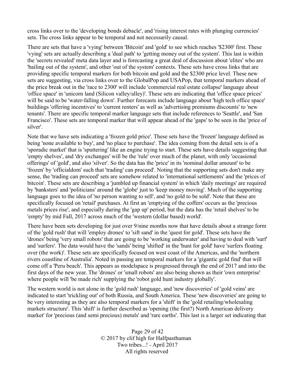cross links over to the 'developing bonds debacle', and 'rising interest rates with plunging currencies' sets. The cross links appear to be temporal and not necessarily causal.

There are sets that have a 'vying' between 'Bitcoin' and 'gold' to see which reaches '\$2300' first. These 'vying' sets are actually describing a 'dual path' to 'getting money out of the system'. This last is within the 'secrets revealed' meta data layer and is forecasting a great deal of discussion about 'elites' who are 'bailing out of the system', and other 'out of the system' contexts. These sets have cross links that are providing specific temporal markers for both bitcoin and gold and the \$2300 price level. These new sets are suggesting, via cross links over to the GlobalPop and USAPop, that temporal markers ahead of the price break out in the 'race to 2300' will include 'commercial real estate collapse' language about 'office space' in 'unicorn land (Silicon valley/alley)'. These sets are indicating that 'office space prices' will be said to be 'water-falling down'. Further forecasts include language about 'high tech office space' buildings 'offering incentives' to 'current renters' as well as 'advertising premiums discounts' to 'new tenants'. There are specific temporal marker language sets that include references to 'Seattle', and 'San Francisco'. These sets are temporal marker that will appear ahead of the 'gaps' to be seen in the 'price of silver'.

Note that we have sets indicating a 'frozen gold price'. These sets have the 'frozen' language defined as being 'none available to buy', and 'no place to purchase'. The idea coming from the detail sets is of a 'sporadic market' that is 'sputtering' like an engine trying to start. These sets have details suggesting that 'empty shelves', and 'dry exchanges' will be the 'rule' over much of the planet, with only 'occasional offerings' of 'gold', and also 'silver'. So the data has the 'price' in its 'nominal dollar amount' to be 'frozen' by 'officialdom' such that 'trading' can proceed'. Noting that the supporting sets don't make any sense, the 'trading can proceed' sets are somehow related to 'international settlements' and the 'prices of bitcoin'. These sets are describing a 'jumbled up financial system' in which 'daily meetings' are required by 'banksters' and 'politicians' around the 'globe' just to 'keep money moving'. Much of the supporting language goes to the idea of 'no person wanting to sell', and 'no gold to be sold'. Note that these are specifically focused on 'retail' purchases. At first an 'emptying of the coffers' occurs as the 'precious metals prices rise', and especially during the 'gap up' period, but the data has the 'retail shelves' to be 'empty' by mid Fall, 2017 across much of the 'western (dollar based) world'.

There have been sets developing for just over 9/nine months now that have details about a strange form of the 'gold rush' that will 'employ drones' to 'sift sand' in the 'quest for gold'. These sets have the 'drones' being 'very small robots' that are going to be 'working underwater' and having to deal with 'surf' and 'surfers'. The data would have the 'sands' being 'shifted' in the 'hunt for gold' have 'surfers floating over (the work)'. These sets are specifically focused on west coast of the Americas, and the 'northern rivers coastline of Australia'. Noted in passing are temporal markers for a 'gigantic gold find' that will come off a 'Peru beach'. This appears as modelspace is progressed through the end of 2017 and into the first days of the new year. The 'drones' or 'small robots' are also being shown as their 'own enterprise' where people will 'be made rich' supplying the 'robot gold hunt industry globally'.

The western world is not alone in the 'gold rush' language, and 'new discoveries' of 'gold veins' are indicated to start 'trickling out' of both Russia, and South America. These 'new discoveries' are going to be very interesting as they are also temporal markers for a 'shift' in the 'gold retailing/wholesaling markets structure'. This 'shift' is further described as 'opening (the first?) North American delivery market' for 'precious (and semi precious) metals' and 'rare earths'. This last is a larger set indicating that

> Page 29 of 42 © 2017 by clif high for Halfpasthuman Two tribes...! - April 2017 All rights reserved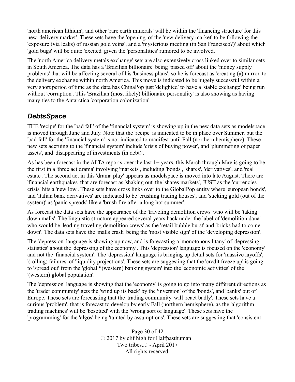'north american lithium', and other 'rare earth minerals' will be within the 'financing structure' for this new 'delivery market'. These sets have the 'opening' of the 'new delivery market' to be following the 'exposure (via leaks) of russian gold veins', and a 'mysterious meeting (in San Francisco?)' about which 'gold bugs' will be quite 'excited' given the 'personalities' rumored to be involved.

The 'north America delivery metals exchange' sets are also extensively cross linked over to similar sets in South America. The data has a 'Brazilian billionaire' being 'pissed off' about the 'money supply problems' that will be affecting several of his 'business plans', so he is forecast as 'creating (a) mirror' to the delivery exchange within north America. This move is indicated to be hugely successful within a very short period of time as the data has ChinaPop just 'delighted' to have a 'stable exchange' being run without 'corruption'. This 'Brazilian (most likely) billionaire personality' is also showing as having many ties to the Antarctica 'corporation colonization'.

#### *DebtsSpace*

THE 'recipe' for the 'bad fall' of the 'financial system' is showing up in the new data sets as modelspace is moved through June and July. Note that the 'recipe' is indicated to be in place over Summer, but the 'bad fall' for the 'financial system' is not indicated to manifest until Fall (northern hemisphere). These new sets accruing to the 'financial system' include 'crisis of buying power', and 'plummeting of paper assets', and 'disappearing of investments (in debt)'.

As has been forecast in the ALTA reports over the last 1+ years, this March through May is going to be the first in a 'three act drama' involving 'markets', including 'bonds', 'shares', 'derivatives', and 'real estate'. The second act in this 'drama play' appears as modelspace is moved into late August. There are 'financial earthquakes' that are forecast as 'shaking out' the 'shares markets', JUST as the 'currencies crisis' hits a 'new low'. These sets have cross links over to the GlobalPop entity where 'european bonds', and 'italian bank derivatives' are indicated to be 'crushing trading houses', and 'sucking gold (out of the system)' as 'panic spreads' like a 'brush fire after a long hot summer'.

As forecast the data sets have the appearance of the 'traveling demolition crews' who will be 'taking down malls'. The linguistic structure appeared several years back under the label of 'demolition dana' who would be 'leading traveling demolition crews' as the 'retail bubble burst' and 'bricks had to come down'. The data sets have the 'malls crash' being the 'most visible sign' of the 'developing depression'.

The 'depression' language is showing up now, and is forecasting a 'monotonous litany' of 'depressing statistics' about the 'depressing of the economy'. This 'depression' language is focused on the 'economy' and not the 'financial system'. The 'depression' language is bringing up detail sets for 'massive layoffs', '(rolling) failures' of 'liquidity projections'. These sets are suggesting that the 'credit freeze up' is going to 'spread out' from the 'global \*(western) banking system' into the 'economic activities' of the '(western) global population'.

The 'depression' language is showing that the 'economy' is going to go into many different directions as the 'trader community' gets the 'wind up its back' by the 'inversion' of the 'bonds', and 'banks' out of Europe. These sets are forecasting that the 'trading community' will 'react badly'. These sets have a curious 'problem', that is forecast to develop by early Fall (northern hemisphere), as the 'algorithm trading machines' will be 'besotted' with the 'wrong sort of language'. These sets have the 'programming' for the 'algos' being 'tainted by assumptions'. These sets are suggesting that 'consistent

> Page 30 of 42 © 2017 by clif high for Halfpasthuman Two tribes...! - April 2017 All rights reserved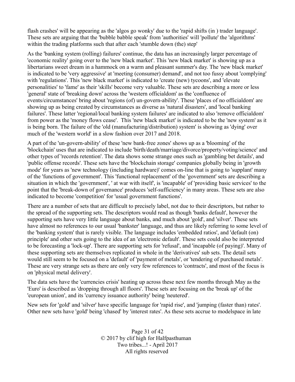flash crashes' will be appearing as the 'algos go wonky' due to the 'rapid shifts (in ) trader language'. These sets are arguing that the 'bubble babble speak' from 'authorities' will 'pollute' the 'algorithms' within the trading platforms such that after each 'stumble down (the) step'

As the 'banking system (rolling) failures' continue, the data has an increasingly larger percentage of 'economic reality' going over to the 'new black market'. This 'new black market' is showing up as a libertarians sweet dream in a hammock on a warm and pleasant summer's day. The 'new black market' is indicated to be 'very aggressive' at 'meeting (consumer) demand', and not too fussy about 'complying' with 'regulations'. This 'new black market' is indicated to 'create (new) tycoons', and 'elevate personalities' to 'fame' as their 'skills' become very valuable. These sets are describing a more or less 'general' state of 'breaking down' across the 'western officialdom' as the 'confluence of events/circumstances' bring about 'regions (of) un-govern-ability'. These 'places of no officialdom' are showing up as being created by circumstances as diverse as 'natural disasters', and 'local banking failures'. These latter 'regional/local banking system failures' are indicated to also 'remove officialdom' from power as the 'money flows cease'. This 'new black market' is indicated to be the 'new system' as it is being born. The failure of the 'old (manufacturing/distribution) system' is showing as 'dying' over much of the 'western world' in a slow fashion over 2017 and 2018.

A part of the 'un-govern-ability' of these 'new bank-free zones' shows up as a 'blooming' of the 'blockchain' uses that are indicated to include 'birth/death/marriage/divorce/property/voting/science' and other types of 'records retention'. The data shows some strange ones such as 'gambling bet details', and 'public offense records'. These sets have the 'blockchain storage' companies globally being in 'growth mode' for years as 'new technology (including hardware)' comes on-line that is going to 'supplant' many of the 'functions of government'. This 'functional replacement' of the 'government' sets are describing a situation in which the 'government', ' at war with itself', is 'incapable' of 'providing basic services' to the point that the 'break-down of governance' produces 'self-sufficiency' in many areas. These sets are also indicated to become 'competition' for 'usual government functions'.

There are a number of sets that are difficult to precisely label, not due to their descriptors, but rather to the spread of the supporting sets. The descriptors would read as though 'banks default', however the supporting sets have very little language about banks, and much about 'gold', and 'silver'. These sets have almost no references to our usual 'bankster' language, and thus are likely referring to some level of the 'banking system' that is rarely visible. The language includes 'embedded ratios', and 'default (on) principle' and other sets going to the idea of an 'electronic default'. These sets could also be interpreted to be forecasting a 'lock-up'. There are supporting sets for 'refusal', and 'incapable (of paying)'. Many of these supporting sets are themselves replicated in whole in the 'derivatives' sub sets. The detail sets would still seem to be focused on a 'default' of 'payment of metals', or 'tendering of purchased metals'. These are very strange sets as there are only very few references to 'contracts', and most of the focus is on 'physical metal delivery'.

The data sets have the 'currencies crisis' heating up across these next few months through May as the 'Euro' is described as 'dropping through all floors'. These sets are focusing on the 'break up' of the 'european union', and its 'currency issuance authority' being 'neutered'.

New sets for 'gold' and 'silver' have specific language for 'rapid rise', and 'jumping (faster than) rates'. Other new sets have 'gold' being 'chased' by 'interest rates'. As these sets accrue to modelspace in late

> Page 31 of 42 © 2017 by clif high for Halfpasthuman Two tribes...! - April 2017 All rights reserved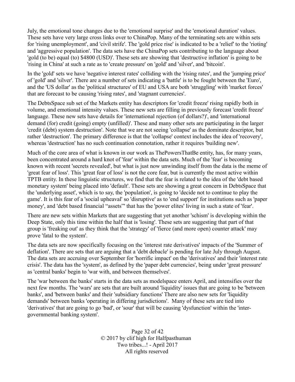July, the emotional tone changes due to the 'emotional surprise' and the 'emotional duration' values. These sets have very large cross links over to ChinaPop. Many of the terminating sets are within sets for 'rising unemployment', and 'civil strife'. The 'gold price rise' is indicated to be a 'relief' to the 'rioting' and 'aggressive population'. The data sets have the ChinaPop sets contributing to the language about 'gold (to be) equal (to) \$4800 (USD)'. These sets are showing that 'destructive inflation' is going to be 'rising in China' at such a rate as to 'create pressure' on 'gold' and 'silver', and 'bitcoin'.

In the 'gold' sets we have 'negative interest rates' colliding with the 'rising rates', and the 'jumping price' of 'gold' and 'silver'. There are a number of sets indicating a 'battle' is to be fought between the 'Euro', and the 'US dollar' as the 'political structures' of EU and USA are both 'struggling' with 'market forces' that are forecast to be causing 'rising rates', and 'stagnant currencies'.

The DebtsSpace sub set of the Markets entity has descriptors for 'credit freeze' rising rapidly both in volume, and emotional intensity values. These new sets are filling in previously forecast 'credit freeze' language. These new sets have details for 'international rejection (of dollars?)', and 'international demand (for) credit (going) empty (unfilled)'. These and many other sets are participating in the larger 'credit (debt) system destruction'. Note that we are not seeing 'collapse' as the dominate descriptor, but rather 'destruction'. The primary difference is that the 'collapse' context includes the idea of 'recovery', whereas 'destruction' has no such continuation connotation, rather it requires 'building new'.

Much of the core area of what is known in our work as ThePowersThatBe entity, has, for many years, been concentrated around a hard knot of 'fear' within the data sets. Much of the 'fear' is becoming known with recent 'secrets revealed', but what is just now unwinding itself from the data is the meme of 'great fear of loss'. This 'great fear of loss' is not the core fear, but is currently the most active within TPTB entity. In these linguistic structures, we find that the fear is related to the idea of the 'debt based monetary system' being placed into 'default'. These sets are showing a great concern in DebtsSpace that the 'underlying asset', which is to say, the 'population', is going to 'decide not to continue to play the game'. It is this fear of a 'social upheaval' so 'disruptive' as to 'end support' for institutions such as 'paper money', and 'debt based financial "assets"' that has the 'power elites' living in such a state of 'fear'.

There are new sets within Markets that are suggesting that yet another 'schism' is developing within the Deep State, only this time within the half that is 'losing'. These sets are suggesting that part of that group is 'freaking out' as they think that the 'strategy' of 'fierce (and more open) counter attack' may prove 'fatal to the system'.

The data sets are now specifically focusing on the 'interest rate derivatives' impacts of the 'Summer of deflation'. There are sets that are arguing that a 'debt debacle' is pending for late July through August. The data sets are accruing over September for 'horrific impact' on the 'derivatives' and their 'interest rate crisis'. The data has the 'system', as defined by the 'paper debt currencies', being under 'great pressure' as 'central banks' begin to 'war with, and between themselves'.

The 'war between the banks' starts in the data sets as modelspace enters April, and intensifies over the next few months. The 'wars' are sets that are built around 'liquidity' issues that are going to be 'between banks', and 'between banks' and their 'subsidiary functions' There are also new sets for 'liquidity demands' between banks 'operating in differing jurisdictions'. Many of these sets are tied into 'derivatives' that are going to go 'bad', or 'sour' that will be causing 'dysfunction' within the 'intergovernmental banking system'.

> Page 32 of 42 © 2017 by clif high for Halfpasthuman Two tribes...! - April 2017 All rights reserved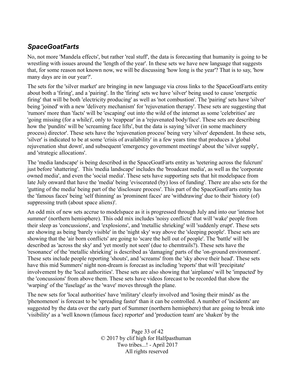## *SpaceGoatFarts*

No, not more 'Mandela effects', but rather 'real stuff', the data is forecasting that humanity is going to be wrestling with issues around the 'length of the year'. In these sets we have new language that suggests that, for some reason not known now, we will be discussing 'how long is the year'? That is to say, 'how many days are in our year?'.

The sets for the 'silver market' are bringing in new language via cross links to the SpaceGoatFarts entity about both a 'firing', and a 'pairing'. In the 'firing' sets we have 'silver' being used to cause 'energetic firing' that will be both 'electricity producing' as well as 'not combustion'. The 'pairing' sets have 'silver' being 'joined' with a new 'delivery mechanism' for 'rejuvenation therapy'. These sets are suggesting that 'rumors' more than 'facts' will be 'escaping' out into the wild of the internet as some 'celebrities' are 'going missing (for a while)', only to 'reappear' in a 'rejuvenated body/face'. These sets are describing how the 'pundits' will be 'screaming face lifts', but the data is saying 'silver (in some machinery process) director'. These sets have the 'rejuvenation process' being very 'silver' dependent. In these sets, 'silver' is indicated to be at some 'crisis of availability' in a few years time that produces a 'global rejuvenation shut down', and subsequent 'emergency government meetings' about the 'silver supply', and 'strategic allocations'.

The 'media landscape' is being described in the SpaceGoatFarts entity as 'teetering across the fulcrum' just before 'shattering'. This 'media landscape' includes the 'broadcast media', as well as the 'corporate owned media', and even the 'social media'. These sets have supporting sets that hit modelspace from late July onward that have the 'media' being 'eviscerated (by) loss of funding'. There are also sets for the 'gutting of the media' being part of the 'disclosure process'. This part of the SpaceGoatFarts entity has the 'famous faces' being 'self thinning' as 'prominent faces' are 'withdrawing' due to their 'history (of) suppressing truth (about space aliens)'.

An odd mix of new sets accrue to modelspace as it is progressed through July and into our 'intense hot summer' (northern hemisphere). This odd mix includes 'noisy conflicts' that will 'wake' people from their sleep as 'concussions', and 'explosions', and 'metallic shrieking' will 'suddenly erupt'. These sets are showing as being 'barely visible' in the 'night sky' way above the 'sleeping people'. These sets are showing that the 'air born conflicts' are going to 'scare the hell out of people'. The 'battle' will be described as 'across the sky' and 'yet mostly not seen' (due to chemtrails?). These sets have the 'resonance' of the 'metallic shrieking' is described as 'damaging' parts of the 'on-ground environment'. These sets include people reporting 'shouts', and 'screams' from the 'sky above their head'. These sets have this mid Summers' night non-dream is forecast as including 'reports' that will 'precipitate' involvement by the 'local authorities'. These sets are also showing that 'airplanes' will be 'impacted' by the 'concussions' from above them. These sets have videos forecast to be recorded that show the 'warping' of the 'fuselage' as the 'wave' moves through the plane.

The new sets for 'local authorities' have 'military' clearly involved and 'losing their minds' as the 'phenomenon' is forecast to be 'spreading faster' than it can be controlled. A number of 'incidents' are suggested by the data over the early part of Summer (northern hemisphere) that are going to break into 'visibility' as a 'well known (famous face) reporter' and 'production team' are 'shaken' by the

> Page 33 of 42 © 2017 by clif high for Halfpasthuman Two tribes...! - April 2017 All rights reserved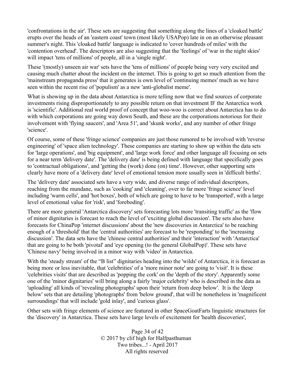'confrontations in the air'. These sets are suggesting that something along the lines of a 'cloaked battle' erupts over the heads of an 'eastern coast' town (most likely USAPop) late in on an otherwise pleasant summer's night. This 'cloaked battle' language is indicated to 'cover hundreds of miles' with the 'contention overhead'. The descriptors are also suggesting that the 'feelings' of 'war in the night skies' will impact 'tens of millions' of people, all in a 'single night'.

These '(mostly) unseen air war' sets have the 'tens of millions' of people being very very excited and causing much chatter about the incident on the internet. This is going to get so much attention from the 'mainstream propaganda press' that it generates is own level of 'continuing memes' much as we have seen within the recent rise of 'populism' as a new 'anti-globalist meme'.

What is showing up in the data about Antarctica is more telling now that we find sources of corporate investments rising disproportionately to any possible return on that investment IF the Antarctica work is 'scientific'. Additional real world proof of concept that woo-woo is correct about Antarctica has to do with which corporations are going way down South, and these are the corporations notorious for their involvement with 'flying saucers', and 'Area 51', and 'skunk works', and any number of other fringe 'science'.

Of course, some of these 'fringe science' companies are just those rumored to be involved with 'reverse engineering' of 'space alien technology'. These companies are starting to show up within the data sets for 'large operations', and 'big equipment', and 'large work force' and other language all focusing on sets for a near term 'delivery date'. The 'delivery date' is being defined with language that specifically goes to 'contractual obligations', and 'getting the (work) done (on) time'. However, other supporting sets clearly have more of a 'delivery date' level of emotional tension more usually seen in 'difficult births'.

The 'delivery date' associated sets have a very wide, and diverse range of individual descriptors, reaching from the mundane, such as 'cooking' and 'cleaning', over to far more 'fringe science' level including 'warm cells', and 'hot boxes', both of which are going to have to be 'transported', with a large level of emotional value for 'risk', and 'foreboding'.

There are more general 'Antarctica discovery' sets forecasting lots more 'transiting traffic' as the 'flow of minor dignitaries is forecast to reach the level of 'exciting global discussion'. The sets also have forecasts for ChinaPop 'internet discussions' about the 'new discoveries in Antarctica' to be reaching enough of a 'threshold' that the 'central authorities' are forecast to be 'responding' to the 'increasing discussion'. The data sets have the 'chinese central authorities' and their 'interaction' with 'Antarctica' that are going to be both 'pivotal' and 'eye opening (to the general GlobalPop)'. These sets have 'Chinese navy' being involved in a minor way with 'video' in Antarctica.

With the 'steady stream' of the "B list" dignitaries heading into the 'wilds' of Antarctica, it is forecast as being more or less inevitable, that 'celebrities' of a 'more minor note' are going to 'visit'. It is these 'celebrities visits' that are described as 'popping the cork' on the 'depth of the story'. Apparently some one of the 'minor dignitaries' will bring along a fairly 'major celebrity' who is described in the data as 'uploading' all kinds of 'revealing photographs' upon their 'return from deep below'. It is the 'deep below' sets that are detailing 'photographs' from 'below ground', that will be nonetheless in 'magnificent surroundings' that will include 'gold inlay', and 'curious glass'.

Other sets with fringe elements of science are featured in other SpaceGoatFarts linguistic structures for the 'discovery' in Antarctica. These sets have large levels of excitement for 'health discoveries',

> Page 34 of 42 © 2017 by clif high for Halfpasthuman Two tribes...! - April 2017 All rights reserved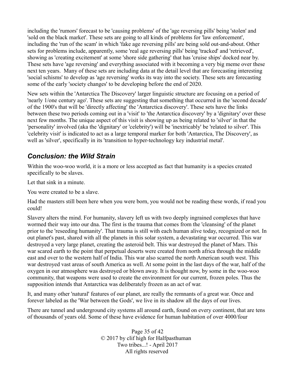including the 'rumors' forecast to be 'causing problems' of the 'age reversing pills' being 'stolen' and 'sold on the black market'. These sets are going to all kinds of problems for 'law enforcement', including the 'run of the scam' in which 'fake age reversing pills' are being sold out-and-about. Other sets for problems include, apparently, some 'real age reversing pills' being 'tracked' and 'retrieved', showing as 'creating excitement' at some 'shore side gathering' that has 'cruise ships' docked near by. These sets have 'age reversing' and everything associated with it becoming a very big meme over these next ten years. Many of these sets are including data at the detail level that are forecasting interesting 'social schisms' to develop as 'age reversing' works its way into the society. These sets are forecasting some of the early 'society changes' to be developing before the end of 2020.

New sets within the 'Antarctica The Discovery' larger linguistic structure are focusing on a period of 'nearly 1/one century ago'. These sets are suggesting that something that occurred in the 'second decade' of the 1900's that will be 'directly affecting' the 'Antarctica discovery'. These sets have the links between these two periods coming out in a 'visit' to 'the Antarctica discovery' by a 'dignitary' over these next few months. The unique aspect of this visit is showing up as being related to 'silver' in that the 'personality' involved (aka the 'dignitary' or 'celebrity') will be 'inextricably' be 'related to silver'. This 'celebrity visit' is indicated to act as a large temporal marker for both 'Antarctica, The Discovery', as well as 'silver', specifically in its 'transition to hyper-technology key industrial metal'.

#### *Conclusion: the Wild Strain*

Within the woo-woo world, it is a more or less accepted as fact that humanity is a species created specifically to be slaves.

Let that sink in a minute.

You were created to be a slave.

Had the masters still been here when you were born, you would not be reading these words, if read you could!

Slavery alters the mind. For humanity, slavery left us with two deeply ingrained complexes that have wormed their way into our dna. The first is the trauma that comes from the 'cleansing' of the planet prior to the 'reseeding humanity'. That trauma is still with each human alive today, recognized or not. In out planet's past, shared with all the planets in this solar system, a devastating war occurred. This war destroyed a very large planet, creating the asteroid belt. This war destroyed the planet of Mars. This war scared earth to the point that perpetual deserts were created from north africa through the middle east and over to the western half of India. This war also scarred the north American south west. This war destroyed vast areas of south America as well. At some point in the last days of the war, half of the oxygen in our atmosphere was destroyed or blown away. It is thought now, by some in the woo-woo community, that weapons were used to create the environment for our current, frozen poles. Thus the supposition intends that Antarctica was deliberately frozen as an act of war.

It, and many other 'natural' features of our planet, are really the remnants of a great war. Once and forever labeled as the 'War between the Gods', we live in its shadow all the days of our lives.

There are tunnel and underground city systems all around earth, found on every continent, that are tens of thousands of years old. Some of these have evidence for human habitation of over 4000/four

> Page 35 of 42 © 2017 by clif high for Halfpasthuman Two tribes...! - April 2017 All rights reserved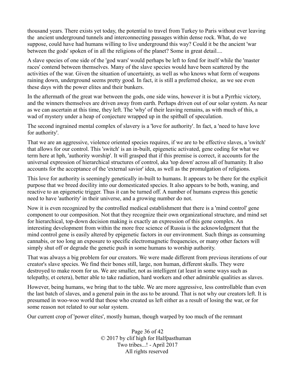thousand years. There exists yet today, the potential to travel from Turkey to Paris without ever leaving the ancient underground tunnels and interconnecting passages within dense rock. What, do we suppose, could have had humans willing to live underground this way? Could it be the ancient 'war between the gods' spoken of in all the religions of the planet? Some in great detail....

A slave species of one side of the 'god wars' would perhaps be left to fend for itself while the 'master races' contend between themselves. Many of the slave species would have been scattered by the activities of the war. Given the situation of uncertainty, as well as who knows what form of weapons raining down, underground seems pretty good. In fact, it is still a preferred choice, as we see even these days with the power elites and their bunkers.

In the aftermath of the great war between the gods, one side wins, however it is but a Pyrrhic victory, and the winners themselves are driven away from earth. Perhaps driven out of our solar system. As near as we can ascertain at this time, they left. The 'why' of their leaving remains, as with much of this, a wad of mystery under a heap of conjecture wrapped up in the spitball of speculation.

The second ingrained mental complex of slavery is a 'love for authority'. In fact, a 'need to have love for authority'.

That we are an aggressive, violence oriented species requires, if we are to be effective slaves, a 'switch' that allows for our control. This 'switch' is an in-built, epigenetic activated, gene coding for what we term here at hph, 'authority worship'. It will grasped that if this premise is correct, it accounts for the universal expression of hierarchical structures of control, aka 'top down' across all of humanity. It also accounts for the acceptance of the 'external savior' idea, as well as the promulgation of religions.

This love for authority is seemingly genetically in-built to humans. It appears to be there for the explicit purpose that we breed docility into our domesticated species. It also appears to be both, waning, and reactive to an epigenetic trigger. Thus it can be turned off. A number of humans express this genetic need to have 'authority' in their universe, and a growing number do not.

Now it is even recognized by the controlled medical establishment that there is a 'mind control' gene component to our composition. Not that they recognize their own organizational structure, and mind set for hierarchical, top-down decision making is exactly an expression of this gene complex. An interesting development from within the more free science of Russia is the acknowledgment that the mind control gene is easily altered by epigenetic factors in our environment. Such things as consuming cannabis, or too long an exposure to specific electromagnetic frequencies, or many other factors will simply shut off or degrade the genetic push in some humans to worship authority.

That was always a big problem for our creators. We were made different from previous iterations of our creator's slave species. We find their bones still, large, non human, different skulls. They were destroyed to make room for us. We are smaller, not as intelligent (at least in some ways such as telepathy, et cetera), better able to take radiation, hard workers and other admirable qualities as slaves.

However, being humans, we bring that to the table. We are more aggressive, less controllable than even the last batch of slaves, and a general pain in the ass to be around. That is not why our creators left. It is presumed in woo-woo world that those who created us left either as a result of losing the war, or for some reason not related to our solar system.

Our current crop of 'power elites', mostly human, though warped by too much of the remnant

Page 36 of 42 © 2017 by clif high for Halfpasthuman Two tribes...! - April 2017 All rights reserved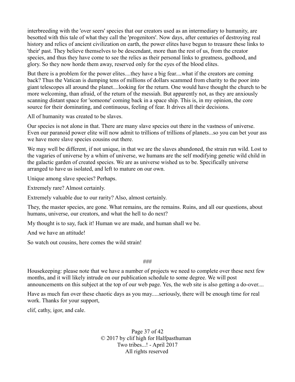interbreeding with the 'over seers' species that our creators used as an intermediary to humanity, are besotted with this tale of what they call the 'progenitors'. Now days, after centuries of destroying real history and relics of ancient civilization on earth, the power elites have begun to treasure these links to 'their' past. They believe themselves to be descendant, more than the rest of us, from the creator species, and thus they have come to see the relics as their personal links to greatness, godhood, and glory. So they now horde them away, reserved only for the eyes of the blood elites.

But there is a problem for the power elites....they have a big fear....what if the creators are coming back? Thus the Vatican is dumping tens of millions of dollars scammed from charity to the poor into giant telescopes all around the planet....looking for the return. One would have thought the church to be more welcoming, than afraid, of the return of the messiah. But apparently not, as they are anxiously scanning distant space for 'someone' coming back in a space ship. This is, in my opinion, the core source for their dominating, and continuous, feeling of fear. It drives all their decisions.

All of humanity was created to be slaves.

Our species is not alone in that. There are many slave species out there in the vastness of universe. Even our paranoid power elite will now admit to trillions of trillions of planets...so you can bet your ass we have more slave species cousins out there.

We may well be different, if not unique, in that we are the slaves abandoned, the strain run wild. Lost to the vagaries of universe by a whim of universe, we humans are the self modifying genetic wild child in the galactic garden of created species. We are as universe wished us to be. Specifically universe arranged to have us isolated, and left to mature on our own.

Unique among slave species? Perhaps.

Extremely rare? Almost certainly.

Extremely valuable due to our rarity? Also, almost certainly.

They, the master species, are gone. What remains, are the remains. Ruins, and all our questions, about humans, universe, our creators, and what the hell to do next?

My thought is to say, fuck it! Human we are made, and human shall we be.

And we have an attitude!

So watch out cousins, here comes the wild strain!

#### ###

Housekeeping: please note that we have a number of projects we need to complete over these next few months, and it will likely intrude on our publication schedule to some degree. We will post announcements on this subject at the top of our web page. Yes, the web site is also getting a do-over....

Have as much fun over these chaotic days as you may.....seriously, there will be enough time for real work. Thanks for your support,

clif, cathy, igor, and cale.

Page 37 of 42 © 2017 by clif high for Halfpasthuman Two tribes...! - April 2017 All rights reserved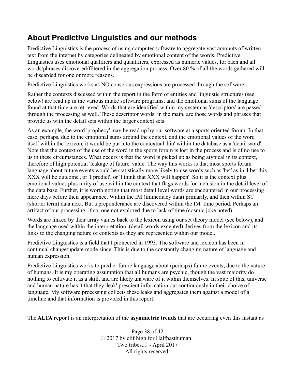# **About Predictive Linguistics and our methods**

Predictive Linguistics is the process of using computer software to aggregate vast amounts of written text from the internet by categories delineated by emotional content of the words. Predictive Linguistics uses emotional qualifiers and quantifiers, expressed as numeric values, for each and all words/phrases discovered/filtered in the aggregation process. Over 80 % of all the words gathered will be discarded for one or more reasons.

Predictive Linguistics works as NO conscious expressions are processed through the software.

Rather the contexts discussed within the report in the form of entities and linguistic structures (see below) are read up in the various intake software programs, and the emotional sums of the language found at that time are retrieved. Words that are identified within my system as 'descriptors' are passed through the processing as well. These descriptor words, in the main, are those words and phrases that provide us with the detail sets within the larger context sets.

As an example, the word 'prophecy' may be read up by our software at a sports oriented forum. In that case, perhaps, due to the emotional sums around the context, and the emotional values of the word itself within the lexicon, it would be put into the contextual 'bin' within the database as a 'detail word'. Note that the context of the use of the word in the sports forum is lost in the process and is of no use to us in these circumstances. What occurs is that the word is picked up as being atypical in its context, therefore of high potential 'leakage of future' value. The way this works is that most sports forum language about future events would be statistically more likely to use words such as 'bet' as in 'I bet this XXX will be outcome', or 'I predict', or 'I think that XXX will happen'. So it is the context plus emotional values plus rarity of use within the context that flags words for inclusion in the detail level of the data base. Further, it is worth noting that most detail level words are encountered in our processing mere days before their appearance. Within the IM (immediacy data) primarily, and then within ST (shorter term) data next. But a preponderance are discovered within the IM time period. Perhaps an artifact of our processing, if so, one not explored due to lack of time (cosmic joke noted).

Words are linked by their array values back to the lexicon using our set theory model (see below), and the language used within the interpretation (detail words excepted) derives from the lexicon and its links to the changing nature of contexts as they are represented within our model.

Predictive Linguistics is a field that I pioneered in 1993. The software and lexicon has been in continual change/update mode since. This is due to the constantly changing nature of language and human expression.

Predictive Linguistics works to predict future language about (perhaps) future events, due to the nature of humans. It is my operating assumption that all humans are psychic, though the vast majority do nothing to cultivate it as a skill, and are likely unaware of it within themselves. In spite of this, universe and human nature has it that they 'leak' prescient information out continuously in their choice of language. My software processing collects these leaks and aggregates them against a model of a timeline and that information is provided in this report.

The **ALTA report** is an interpretation of the **asymmetric trends** that are occurring even this instant as

Page 38 of 42 © 2017 by clif high for Halfpasthuman Two tribes...! - April 2017 All rights reserved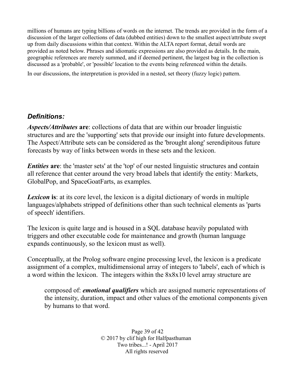millions of humans are typing billions of words on the internet. The trends are provided in the form of a discussion of the larger collections of data (dubbed entities) down to the smallest aspect/attribute swept up from daily discussions within that context. Within the ALTA report format, detail words are provided as noted below. Phrases and idiomatic expressions are also provided as details. In the main, geographic references are merely summed, and if deemed pertinent, the largest bag in the collection is discussed as a 'probable', or 'possible' location to the events being referenced within the details.

In our discussions, the interpretation is provided in a nested, set theory (fuzzy logic) pattern.

#### *Definitions:*

*Aspects/Attributes* **are**: collections of data that are within our broader linguistic structures and are the 'supporting' sets that provide our insight into future developments. The Aspect/Attribute sets can be considered as the 'brought along' serendipitous future forecasts by way of links between words in these sets and the lexicon.

*Entities* are: the 'master sets' at the 'top' of our nested linguistic structures and contain all reference that center around the very broad labels that identify the entity: Markets, GlobalPop, and SpaceGoatFarts, as examples.

**Lexicon** is: at its core level, the lexicon is a digital dictionary of words in multiple languages/alphabets stripped of definitions other than such technical elements as 'parts of speech' identifiers.

The lexicon is quite large and is housed in a SQL database heavily populated with triggers and other executable code for maintenance and growth (human language expands continuously, so the lexicon must as well).

Conceptually, at the Prolog software engine processing level, the lexicon is a predicate assignment of a complex, multidimensional array of integers to 'labels', each of which is a word within the lexicon. The integers within the 8x8x10 level array structure are

composed of: *emotional qualifiers* which are assigned numeric representations of the intensity, duration, impact and other values of the emotional components given by humans to that word.

> Page 39 of 42 © 2017 by clif high for Halfpasthuman Two tribes...! - April 2017 All rights reserved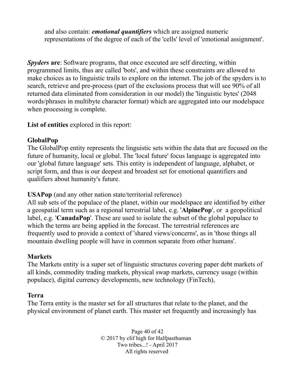and also contain: *emotional quantifiers* which are assigned numeric representations of the degree of each of the 'cells' level of 'emotional assignment'.

*Spyders* **are**: Software programs, that once executed are self directing, within programmed limits, thus are called 'bots', and within these constraints are allowed to make choices as to linguistic trails to explore on the internet. The job of the spyders is to search, retrieve and pre-process (part of the exclusions process that will see 90% of all returned data eliminated from consideration in our model) the 'linguistic bytes' (2048 words/phrases in multibyte character format) which are aggregated into our modelspace when processing is complete.

**List of entities** explored in this report:

#### **GlobalPop**

The GlobalPop entity represents the linguistic sets within the data that are focused on the future of humanity, local or global. The 'local future' focus language is aggregated into our 'global future language' sets. This entity is independent of language, alphabet, or script form, and thus is our deepest and broadest set for emotional quantifiers and qualifiers about humanity's future.

**USAPop** (and any other nation state/territorial reference)

All sub sets of the populace of the planet, within our modelspace are identified by either a geospatial term such as a regional terrestrial label, e.g. '**AlpinePop**', or a geopolitical label, e.g. '**CanadaPop**'. These are used to isolate the subset of the global populace to which the terms are being applied in the forecast. The terrestrial references are frequently used to provide a context of 'shared views/concerns', as in 'those things all mountain dwelling people will have in common separate from other humans'.

#### **Markets**

The Markets entity is a super set of linguistic structures covering paper debt markets of all kinds, commodity trading markets, physical swap markets, currency usage (within populace), digital currency developments, new technology (FinTech),

#### **Terra**

The Terra entity is the master set for all structures that relate to the planet, and the physical environment of planet earth. This master set frequently and increasingly has

> Page 40 of 42 © 2017 by clif high for Halfpasthuman Two tribes...! - April 2017 All rights reserved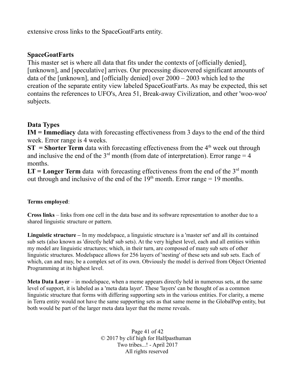extensive cross links to the SpaceGoatFarts entity.

#### **SpaceGoatFarts**

This master set is where all data that fits under the contexts of [officially denied], [unknown], and [speculative] arrives. Our processing discovered significant amounts of data of the [unknown], and [officially denied] over 2000 – 2003 which led to the creation of the separate entity view labeled SpaceGoatFarts. As may be expected, this set contains the references to UFO's, Area 51, Break-away Civilization, and other 'woo-woo' subjects.

#### **Data Types**

**IM = Immediacy** data with forecasting effectiveness from 3 days to the end of the third week. Error range is 4 weeks.

**ST** = **Shorter Term** data with forecasting effectiveness from the  $4<sup>th</sup>$  week out through and inclusive the end of the  $3<sup>rd</sup>$  month (from date of interpretation). Error range = 4 months.

 $LT = Longer Term$  data with forecasting effectiveness from the end of the  $3<sup>rd</sup>$  month out through and inclusive of the end of the  $19<sup>th</sup>$  month. Error range = 19 months.

#### **Terms employed**:

**Cross links** – links from one cell in the data base and its software representation to another due to a shared linguistic structure or pattern.

**Linguistic structure –** In my modelspace, a linguistic structure is a 'master set' and all its contained sub sets (also known as 'directly held' sub sets). At the very highest level, each and all entities within my model are linguistic structures; which, in their turn, are composed of many sub sets of other linguistic structures. Modelspace allows for 256 layers of 'nesting' of these sets and sub sets. Each of which, can and may, be a complex set of its own. Obviously the model is derived from Object Oriented Programming at its highest level.

**Meta Data Layer** – in modelspace, when a meme appears directly held in numerous sets, at the same level of support, it is labeled as a 'meta data layer'. These 'layers' can be thought of as a common linguistic structure that forms with differing supporting sets in the various entities. For clarity, a meme in Terra entity would not have the same supporting sets as that same meme in the GlobalPop entity, but both would be part of the larger meta data layer that the meme reveals.

> Page 41 of 42 © 2017 by clif high for Halfpasthuman Two tribes...! - April 2017 All rights reserved